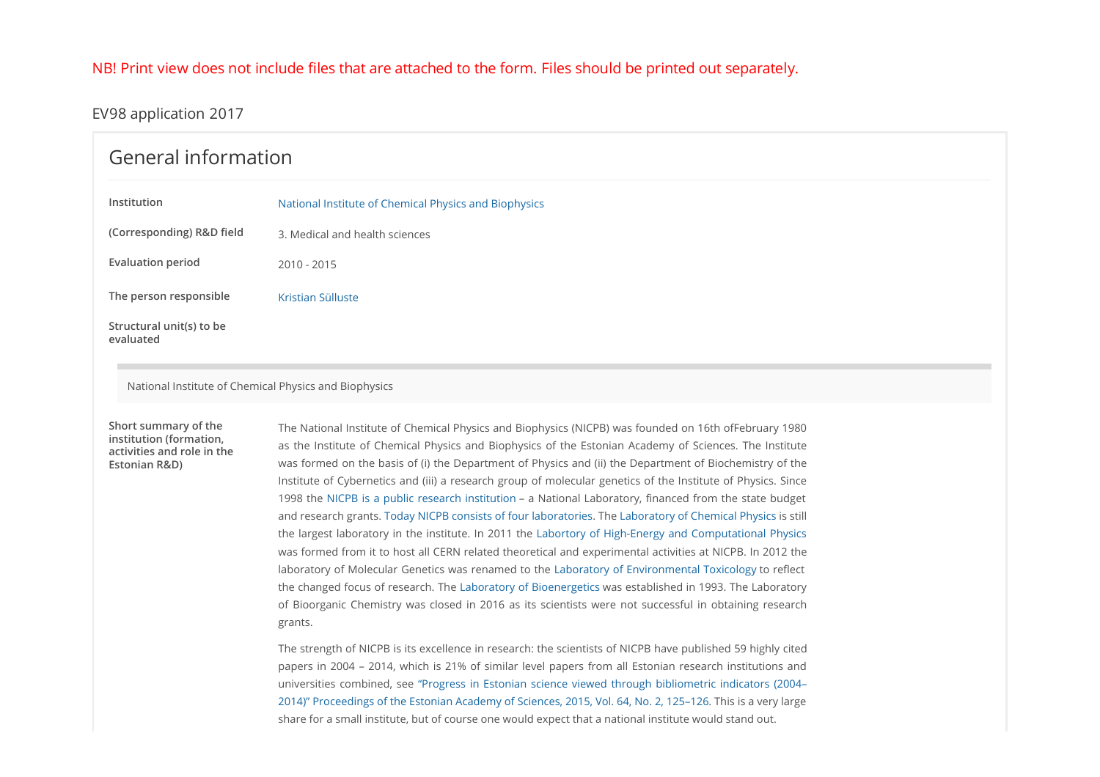### NB! Print view does not include files that are attached to the form. Files should be printed out separately.

### EV98 application 2017

## General information

| Institution               | National Institute of Chemical Physics and Biophysics |
|---------------------------|-------------------------------------------------------|
| (Corresponding) R&D field | 3. Medical and health sciences                        |
| <b>Evaluation period</b>  | 2010 - 2015                                           |
| The person responsible    | Kristian Sülluste                                     |
| Structural unit(s) to be  |                                                       |

National Institute of Chemical Physics and Biophysics

## activities and role in the Estonian R&D)

evaluated

The National Institute of Chemical Physics and Biophysics (NICPB) was founded on 16th ofFebruary 1980 Short summary of the **instituteof Chemical Physics and Biophysics**<br>as Medical and health sciences<br>and the Institute of Chemical Physics and Biophysics (NICPRI) was founded on 16th offebruary 1989<br>as the Institute of Chemical Physics and Bioph was formed on the basis of (i) the Department of Physics and (ii) the Department of Biochemistry of the Institute of Cybernetics and (iii) a research group of molecular genetics of the Institute of Physics. Since 1998 the NICPB is a public research institution – a National Laboratory, financed from the state budget and research grants. Today NICPB consists of four laboratories. The Laboratory of Chemical Physics is still the largest laboratory in the institute. In 2011 the Labortory of High-Energy and Computational Physics was formed from it to host all CERN related theoretical and experimental activities at NICPB. In 2012 the laboratory of Molecular Genetics was renamed to the Laboratory of Environmental Toxicology to reflect the changed focus of research. The Laboratory of Bioenergetics was established in 1993. The Laboratory BrigainSülluste<br>
Brigain Sülluste<br>
The National Institute of Chemical Physics and Biophysics (NICPB) was founded on 16th offebruary 1980<br>
The National Institute of Chemical Physics and Biophysics of the Estamian Assetemy grants. institution (formation,<br>as the Institute of Chemical Physics and Biophysics of the Estonian Academy of Sciences. The Institute

The strength of NICPB is its excellence in research: the scientists of NICPB have published 59 highly cited papers in 2004 – 2014, which is 21% of similar level papers from all Estonian research institutions and universities combined, see "Progress in Estonian science viewed through bibliometric indicators (2004– 2014)" Proceedings of the Estonian Academy of Sciences, 2015, Vol. 64, No. 2, 125–126. This is a very large share for a small institute, but of course one would expect that a national institute would stand out.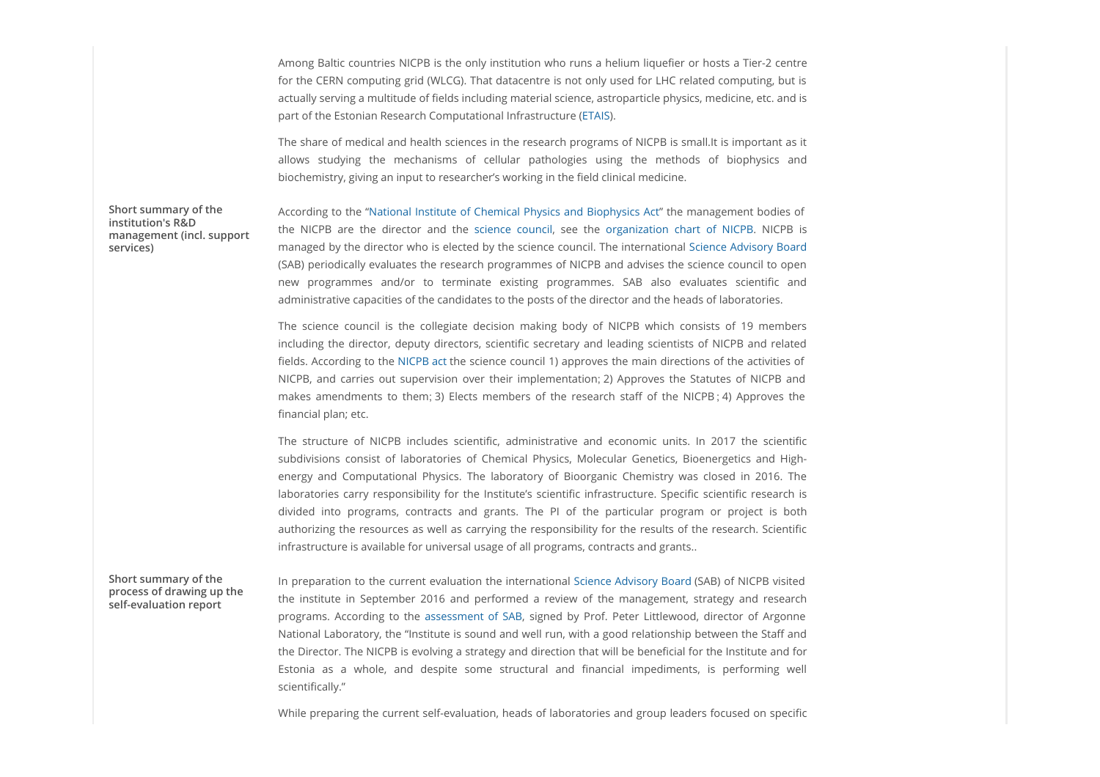Among Baltic countries NICPB is the only institution who runs a helium liquefier or hosts a Tier-2 centre for the CERN computing grid (WLCG). That datacentre is not only used for LHC related computing, but is actually serving a multitude of fields including material science, astroparticle physics, medicine, etc. and is part of the Estonian Research Computational Infrastructure (ETAIS). AmongBaltic countries NICPB is the only institution who runs a helium liquefier or hosts a Tier-2 centre<br>for the CERN computing grid (WLCG). That datacentre is not only used for LHC related computing, but is<br>actually serv

The share of medical and health sciences in the research programs of NICPB is small.It is important as it biochemistry, giving an input to researcher's working in the field clinical medicine.

management (incl. support services)

Short summary of the The Cording to the "National Institute of Chemical Physics and Biophysics Act" the management bodies of Among Baltic countries NICPB is the only institution who runs a helium liquefier or hosts a Tier-2 centre<br>for the CERN computing grid (WICG). That datacentre is not only used for LHC related computing, but is<br>actually serv managed by the director who is elected by the science council. The international Science Advisory Board (SAB) periodically evaluates the research programmes of NICPB and advises the science council to open ArnongBultic countries NICPB is the only institution who runs a helium liquelier or hosts a Tier-2 centre<br>for the CERN computing grid (WLCG). That diatacentre is not only used for LHC related computing, but is<br>actually se administrative capacities of the candidates to the posts of the director and the heads of laboratories. Among Baltic countries NICPB is the only institution who runs a helium liquelier or hosts a Tier-2 centre<br>of the CERN computing gird (WICG). That dialcometries is not only used for LHC related computing, but is<br>actually se Mmong Baltic countries NICPB is the only institution who runs a helium liquefier or hosts a Ter-2 centre<br>for the CEBN computing grid (WLCG). That diatemente is not chy used for LHC related computing, but is<br>catually servic Among Bultic countries NICPB is the only institution who runs a helium liquidier or hosts a Tier 2 centre<br>for the CERN computing grid (WLCG). That datacentre is not only used for Life critical computing, but its<br>actually s Among Baltic countries NICPB is the only institution who runs a helium liquefier or hosts a Tier-2 centre<br>of the CERN computing prid WICGD, That ductions them; and the form by used for Life related computing, but is<br>part o institution's R&D<br>the NICPB are the director and the science council, see the organization chart of NICPB. NICPB is

fields. According to the NICPB act the science council 1) approves the main directions of the activities of financial plan; etc.

actually serving a multitude of liedds including material science, astroparticle physics, medidine, etc. and is<br>part of the estonan Research Computational infrastructure (EPAS).<br>The stare of medical and health sciences in part of the Essentian Research Computational Infrastructure (ETMS).<br>The shore of medical and health sciences in the research programs of NICPB is small.It is important as it<br>allows studying the mechanisms of callular parti The share of medical and health sciences in the research programs of NICP6 is small. It is important as it allows studying the medical physics and Bioophysics of the medical Physics and Bioophysics and Bioophysics and Bioo Thestate of medical and health sciences in the research programs of NICP's is multil. It is inportant as it is the medical and health science is diothermisty, giving an input to researched synoristip in the field dinical allows studying the mechanisms of cellular particulars paint the metallotic studying an into the material proportional metallom control and mechanisms and proportional metallom.<br>According to the "National mistitute of Chem authorizing the resources as well as carrying the responsibility for the results of the research. Scientific infrastructure is available for universal usage of all programs, contracts and grants.. managedby the direction who is elercted by the scoence council. The international science council to permunistrative control of the control of the control of the control of the control of the control of the control of the gx88) pennalically evaluates the research programmes. SAB also evaluates sciencing can<br>enve programmes and/or to terminate existing programmes. SAB also evaluates sciencing, and<br>deministrative capacities of the condidates The science council is the collegiste decision making body of NICPB which consists of 19 members<br>methoding the director, depany directors, scientific secretary and bealing sciencists of NICPB and relate<br>helds. According to

self-evaluation report

Short summary of the Table of the preparation to the current evaluation the international Science Advisory Board (SAB) of NICPB visited National Laboratory, the "Institute is sound and well run, with a good relationship between the Staff and the Director. The NICPB is evolving a strategy and direction that will be beneficial for the Institute and for scientifically." process of drawing up the<br>
als evaluation report the institute in September 2016 and performed a review of the management, strategy and research

While preparing the current self-evaluation, heads of laboratories and group leaders focused on specific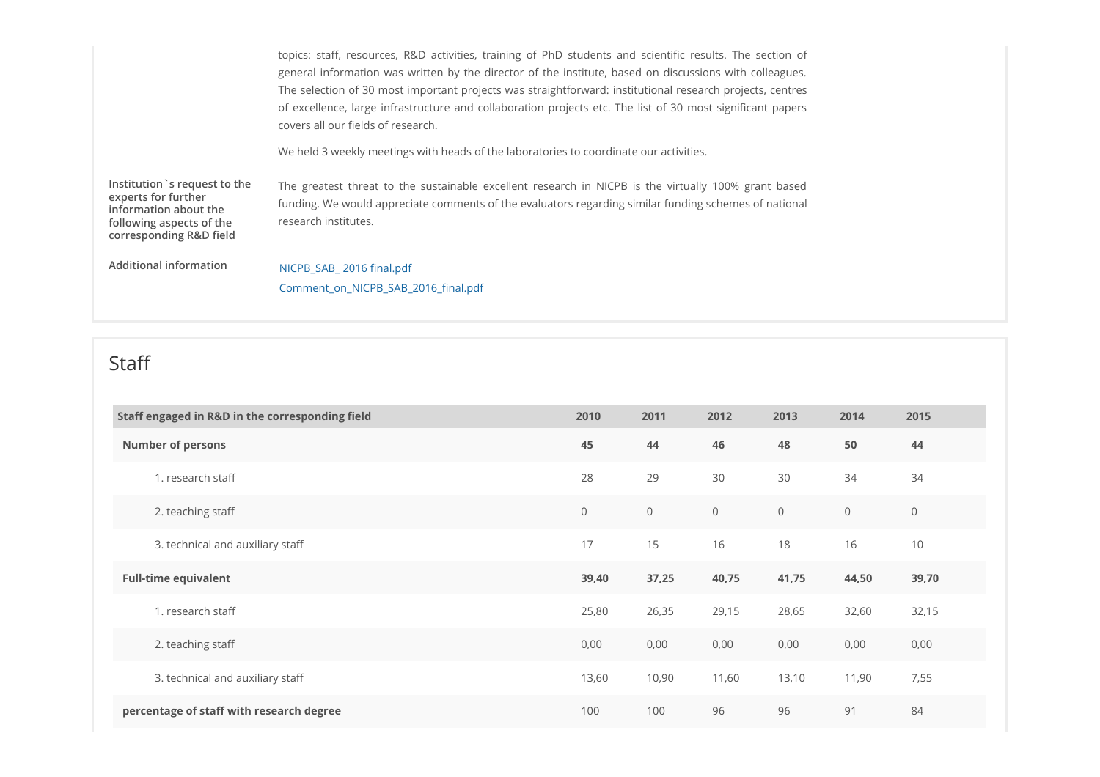|                                                                                                                                      | topics: staff, resources, R&D activities, training of PhD students and scientific results. The section of<br>general information was written by the director of the institute, based on discussions with colleagues.<br>The selection of 30 most important projects was straightforward: institutional research projects, centres<br>of excellence, large infrastructure and collaboration projects etc. The list of 30 most significant papers<br>covers all our fields of research. |  |
|--------------------------------------------------------------------------------------------------------------------------------------|---------------------------------------------------------------------------------------------------------------------------------------------------------------------------------------------------------------------------------------------------------------------------------------------------------------------------------------------------------------------------------------------------------------------------------------------------------------------------------------|--|
|                                                                                                                                      | We held 3 weekly meetings with heads of the laboratories to coordinate our activities.                                                                                                                                                                                                                                                                                                                                                                                                |  |
| Institution `s request to the<br>experts for further<br>information about the<br>following aspects of the<br>corresponding R&D field | The greatest threat to the sustainable excellent research in NICPB is the virtually 100% grant based<br>funding. We would appreciate comments of the evaluators regarding similar funding schemes of national<br>research institutes.                                                                                                                                                                                                                                                 |  |
| <b>Additional information</b>                                                                                                        | NICPB_SAB_2016 final.pdf<br>Comment_on_NICPB_SAB_2016_final.pdf                                                                                                                                                                                                                                                                                                                                                                                                                       |  |

### Staff **Staff Staff Staff Staff Staff Staff Staff Staff Staff Staff Staff Staff Staff Staff Staff Staff Staff Staff Staff Staff Staff Staff Staff Staff Staff Staff Staff**

| Staff engaged in R&D in the corresponding field | 2010           | 2011           | 2012           | 2013         | 2014           | 2015           |
|-------------------------------------------------|----------------|----------------|----------------|--------------|----------------|----------------|
| <b>Number of persons</b>                        | 45             | 44             | 46             | 48           | 50             | 44             |
| 1. research staff                               | 28             | 29             | 30             | 30           | 34             | 34             |
| 2. teaching staff                               | $\overline{0}$ | $\circledcirc$ | $\overline{O}$ | $\mathsf{O}$ | $\overline{0}$ | $\circledcirc$ |
| 3. technical and auxiliary staff                | 17             | 15             | 16             | 18           | 16             | 10             |
| <b>Full-time equivalent</b>                     | 39,40          | 37,25          | 40,75          | 41,75        | 44,50          | 39,70          |
| 1. research staff                               | 25,80          | 26,35          | 29,15          | 28,65        | 32,60          | 32,15          |
| 2. teaching staff                               | 0,00           | 0,00           | 0,00           | 0,00         | 0,00           | 0,00           |
| 3. technical and auxiliary staff                | 13,60          | 10,90          | 11,60          | 13,10        | 11,90          | 7,55           |
| percentage of staff with research degree        | 100            | 100            | 96             | 96           | 91             | 84             |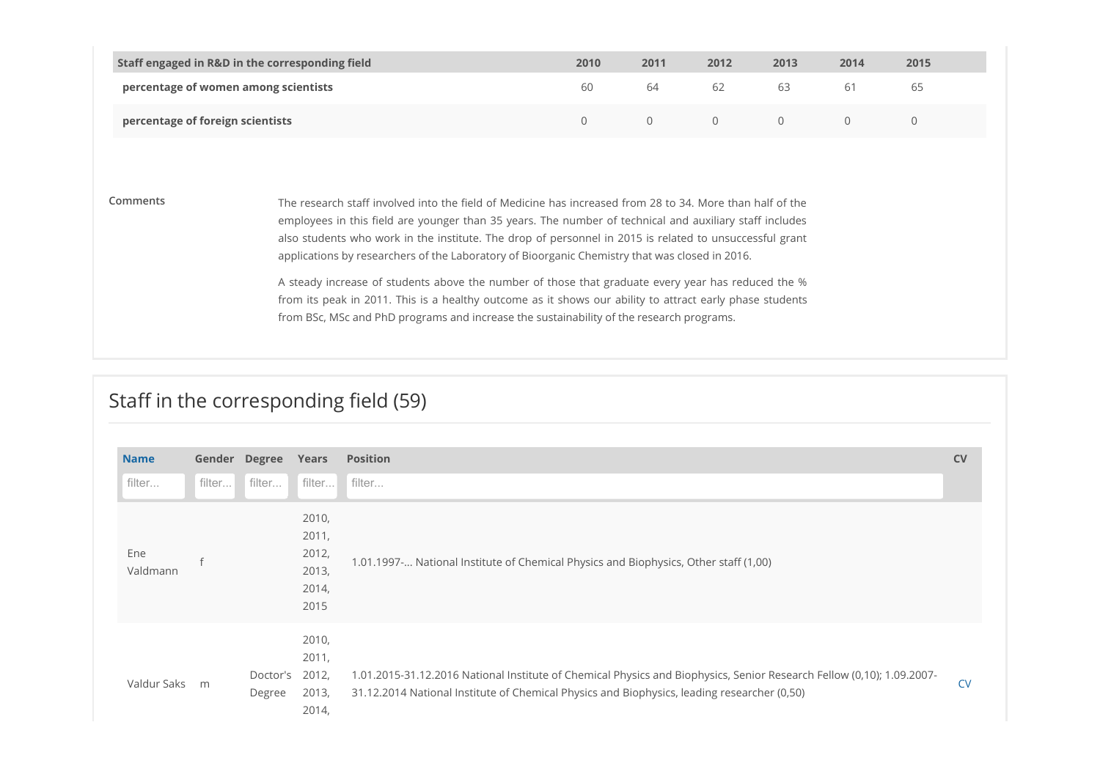| Staff engaged in R&D in the corresponding field | 2010 | 2011 | 2012 | 2013 | 2014 | 2015 |
|-------------------------------------------------|------|------|------|------|------|------|
| percentage of women among scientists            | 60   |      | 62   | 63   | 61   | 65   |
| percentage of foreign scientists                |      |      |      |      |      |      |

Comments The research staff involved into the field of Medicine has increased from 28 to 34. More than half of the employees in this field are younger than 35 years. The number of technical and auxiliary staff includes also students who work in the institute. The drop of personnel in 2015 is related to unsuccessful grant applications by researchers of the Laboratory of Bioorganic Chemistry that was closed in 2016. A steady increase of students above the number of those that graduate every year has reduced the % from its peak in 2011. This is a healthy outcome as it shows our ability to attract early phase students from BSc, MSc and PhD programs and increase the sustainability of the research programs.

## Staff in the corresponding field (59)

| <b>Name</b>     | Gender Degree Years         |                                                   | Position                                                                                                                                                                                                             | CV        |
|-----------------|-----------------------------|---------------------------------------------------|----------------------------------------------------------------------------------------------------------------------------------------------------------------------------------------------------------------------|-----------|
| filter          | filter filter filter filter |                                                   |                                                                                                                                                                                                                      |           |
| Ene<br>Valdmann |                             | 2010,<br>2011,<br>2012,<br>2013,<br>2014,<br>2015 | 1.01.1997- National Institute of Chemical Physics and Biophysics, Other staff (1,00)                                                                                                                                 |           |
| Valdur Saks m   | Doctor's<br>Degree          | 2010,<br>2011,<br>2012,<br>2013,<br>2014,         | 1.01.2015-31.12.2016 National Institute of Chemical Physics and Biophysics, Senior Research Fellow (0,10); 1.09.2007-<br>31.12.2014 National Institute of Chemical Physics and Biophysics, leading researcher (0,50) | <b>CV</b> |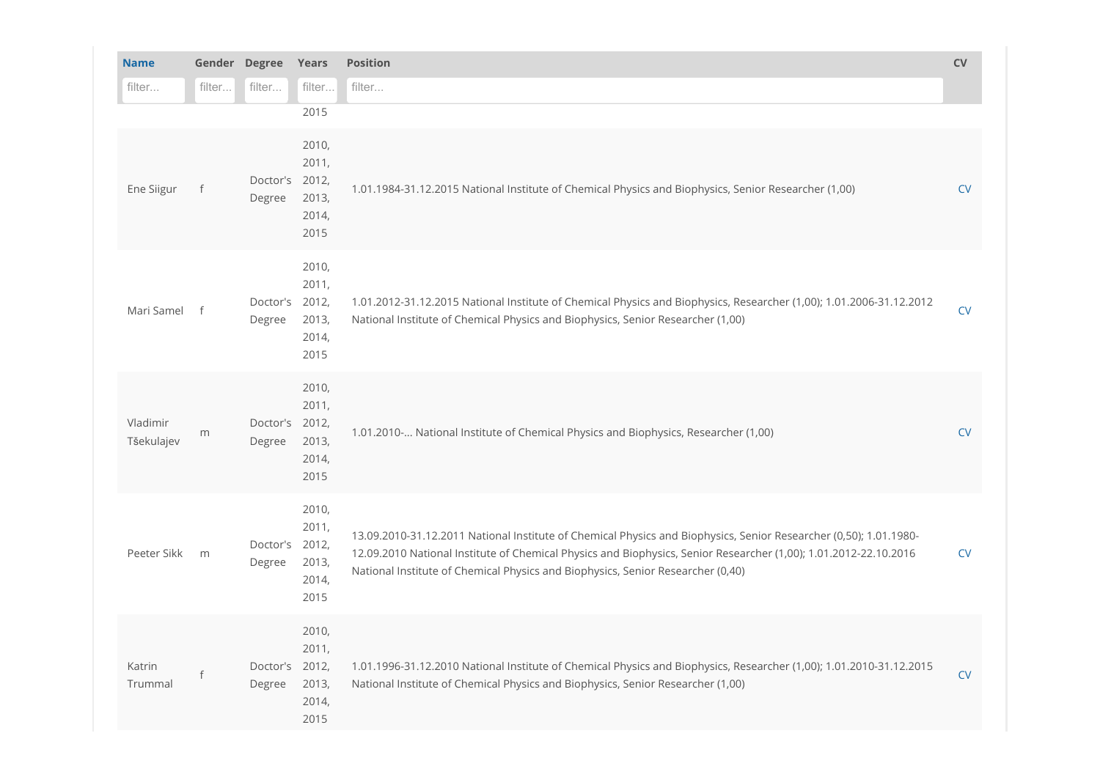| <b>Name</b>            |        | Gender Degree            | Years                                    | Position                                                                                                                                                                                                                                                                                                                 | CV        |
|------------------------|--------|--------------------------|------------------------------------------|--------------------------------------------------------------------------------------------------------------------------------------------------------------------------------------------------------------------------------------------------------------------------------------------------------------------------|-----------|
| filter                 | filter | filter                   | filter                                   | filter                                                                                                                                                                                                                                                                                                                   |           |
|                        |        |                          | 2015                                     |                                                                                                                                                                                                                                                                                                                          |           |
| Ene Siigur             |        | Doctor's 2012,<br>Degree | 2010,<br>2011,<br>2013,<br>2014,<br>2015 | 1.01.1984-31.12.2015 National Institute of Chemical Physics and Biophysics, Senior Researcher (1,00)                                                                                                                                                                                                                     | <b>CV</b> |
| Mari Samel             |        | Doctor's 2012,<br>Degree | 2010,<br>2011,<br>2013,<br>2014,<br>2015 | 1.01.2012-31.12.2015 National Institute of Chemical Physics and Biophysics, Researcher (1,00); 1.01.2006-31.12.2012<br>National Institute of Chemical Physics and Biophysics, Senior Researcher (1,00)                                                                                                                   | <b>CV</b> |
| Vladimir<br>Tšekulajev | m      | Doctor's 2012,<br>Degree | 2010,<br>2011,<br>2013,<br>2014,<br>2015 | 1.01.2010- National Institute of Chemical Physics and Biophysics, Researcher (1,00)                                                                                                                                                                                                                                      | CV        |
| Peeter Sikk m          |        | Doctor's 2012,<br>Degree | 2010,<br>2011,<br>2013,<br>2014,<br>2015 | 13.09.2010-31.12.2011 National Institute of Chemical Physics and Biophysics, Senior Researcher (0,50); 1.01.1980-<br>12.09.2010 National Institute of Chemical Physics and Biophysics, Senior Researcher (1,00); 1.01.2012-22.10.2016<br>National Institute of Chemical Physics and Biophysics, Senior Researcher (0,40) | CV        |
| Katrin<br>Trummal      |        | Doctor's 2012,<br>Degree | 2010,<br>2011,<br>2013,<br>2014,<br>2015 | 1.01.1996-31.12.2010 National Institute of Chemical Physics and Biophysics, Researcher (1,00); 1.01.2010-31.12.2015<br>National Institute of Chemical Physics and Biophysics, Senior Researcher (1,00)                                                                                                                   | CV        |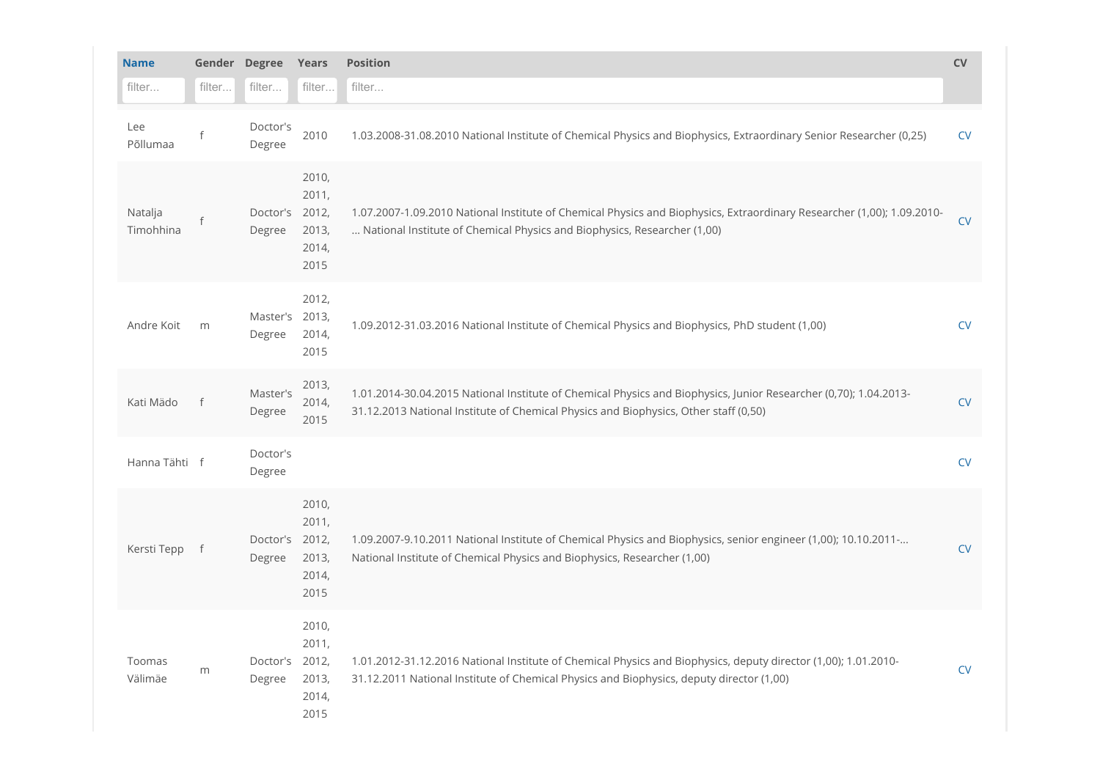| <b>Name</b>          |        | Gender Degree            | Years                                    | <b>Position</b>                                                                                                                                                                                            | <b>CV</b>  |
|----------------------|--------|--------------------------|------------------------------------------|------------------------------------------------------------------------------------------------------------------------------------------------------------------------------------------------------------|------------|
| filter               | filter | filter                   | filter                                   | filter                                                                                                                                                                                                     |            |
| Lee<br>Põllumaa      |        | Doctor's<br>Degree       | 2010                                     | 1.03.2008-31.08.2010 National Institute of Chemical Physics and Biophysics, Extraordinary Senior Researcher (0,25)                                                                                         | <b>CV</b>  |
| Natalja<br>Timohhina |        | Doctor's 2012,<br>Degree | 2010,<br>2011,<br>2013,<br>2014,<br>2015 | 1.07.2007-1.09.2010 National Institute of Chemical Physics and Biophysics, Extraordinary Researcher (1,00); 1.09.2010-<br>National Institute of Chemical Physics and Biophysics, Researcher (1,00)         | <b>CV</b>  |
| Andre Koit           | m      | Master's 2013,<br>Degree | 2012,<br>2014,<br>2015                   | 1.09.2012-31.03.2016 National Institute of Chemical Physics and Biophysics, PhD student (1,00)                                                                                                             | <b>CV</b>  |
| Kati Mädo            | $-f$   | Master's<br>Degree       | 2013,<br>2014,<br>2015                   | 1.01.2014-30.04.2015 National Institute of Chemical Physics and Biophysics, Junior Researcher (0,70); 1.04.2013-<br>31.12.2013 National Institute of Chemical Physics and Biophysics, Other staff (0,50)   | ${\sf CV}$ |
| Hanna Tähti f        |        | Doctor's<br>Degree       |                                          |                                                                                                                                                                                                            | <b>CV</b>  |
| Kersti Tepp f        |        | Doctor's 2012,<br>Degree | 2010,<br>2011,<br>2013,<br>2014,<br>2015 | 1.09.2007-9.10.2011 National Institute of Chemical Physics and Biophysics, senior engineer (1,00); 10.10.2011-<br>National Institute of Chemical Physics and Biophysics, Researcher (1,00)                 | ${\sf CV}$ |
| Toomas<br>Välimäe    | m      | Doctor's 2012,<br>Degree | 2010,<br>2011,<br>2013,<br>2014,<br>2015 | 1.01.2012-31.12.2016 National Institute of Chemical Physics and Biophysics, deputy director (1,00); 1.01.2010-<br>31.12.2011 National Institute of Chemical Physics and Biophysics, deputy director (1,00) | <b>CV</b>  |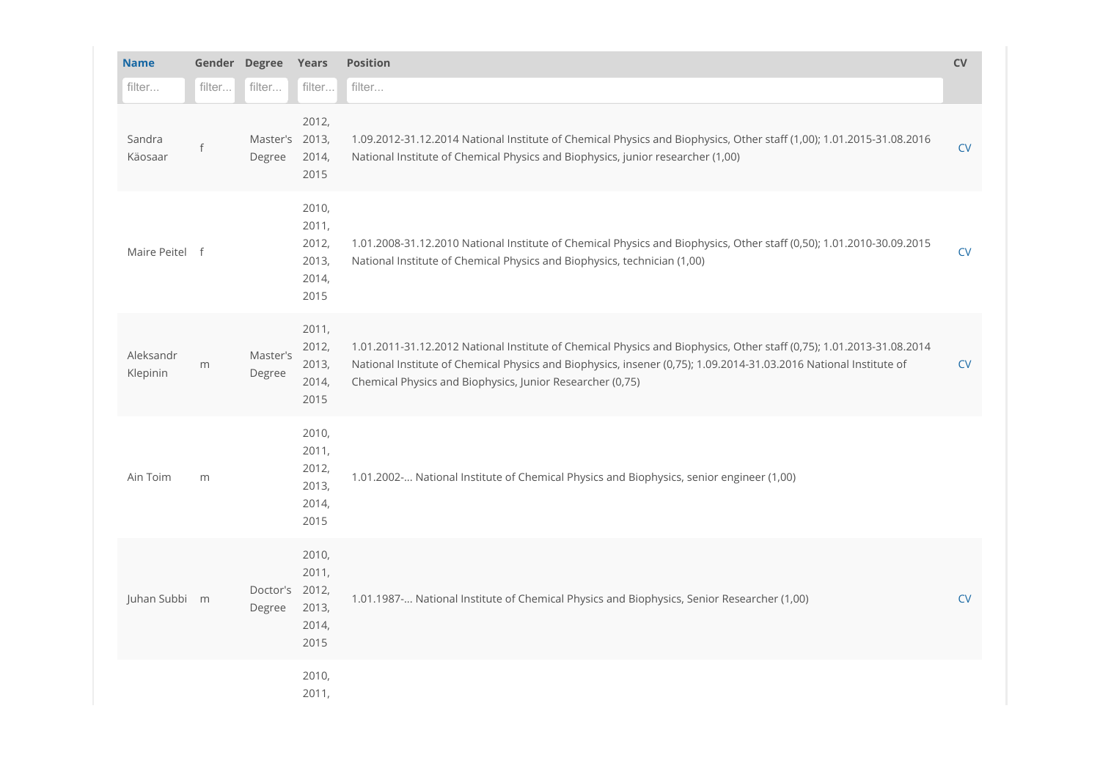| <b>Name</b>           |        | Gender Degree Years      |                                                   | Position                                                                                                                                                                                                                                                                                               | CV        |
|-----------------------|--------|--------------------------|---------------------------------------------------|--------------------------------------------------------------------------------------------------------------------------------------------------------------------------------------------------------------------------------------------------------------------------------------------------------|-----------|
| filter                | filter | filter                   | filter                                            | filter                                                                                                                                                                                                                                                                                                 |           |
| Sandra<br>Käosaar     |        | Master's 2013,<br>Degree | 2012,<br>2014,<br>2015                            | 1.09.2012-31.12.2014 National Institute of Chemical Physics and Biophysics, Other staff (1,00); 1.01.2015-31.08.2016<br>National Institute of Chemical Physics and Biophysics, junior researcher (1,00)                                                                                                | CV        |
| Maire Peitel f        |        |                          | 2010,<br>2011,<br>2012,<br>2013,<br>2014,<br>2015 | 1.01.2008-31.12.2010 National Institute of Chemical Physics and Biophysics, Other staff (0,50); 1.01.2010-30.09.2015<br>National Institute of Chemical Physics and Biophysics, technician (1,00)                                                                                                       | <b>CV</b> |
| Aleksandr<br>Klepinin | m      | Master's<br>Degree       | 2011,<br>2012,<br>2013,<br>2014,<br>2015          | 1.01.2011-31.12.2012 National Institute of Chemical Physics and Biophysics, Other staff (0,75); 1.01.2013-31.08.2014<br>National Institute of Chemical Physics and Biophysics, insener (0,75); 1.09.2014-31.03.2016 National Institute of<br>Chemical Physics and Biophysics, Junior Researcher (0,75) | CV        |
| Ain Toim              | m      |                          | 2010,<br>2011,<br>2012,<br>2013,<br>2014,<br>2015 | 1.01.2002- National Institute of Chemical Physics and Biophysics, senior engineer (1,00)                                                                                                                                                                                                               |           |
| Juhan Subbi m         |        | Doctor's 2012,<br>Degree | 2010,<br>2011,<br>2013,<br>2014,<br>2015          | 1.01.1987- National Institute of Chemical Physics and Biophysics, Senior Researcher (1,00)                                                                                                                                                                                                             | <b>CV</b> |
|                       |        |                          | 2010,<br>2011,                                    |                                                                                                                                                                                                                                                                                                        |           |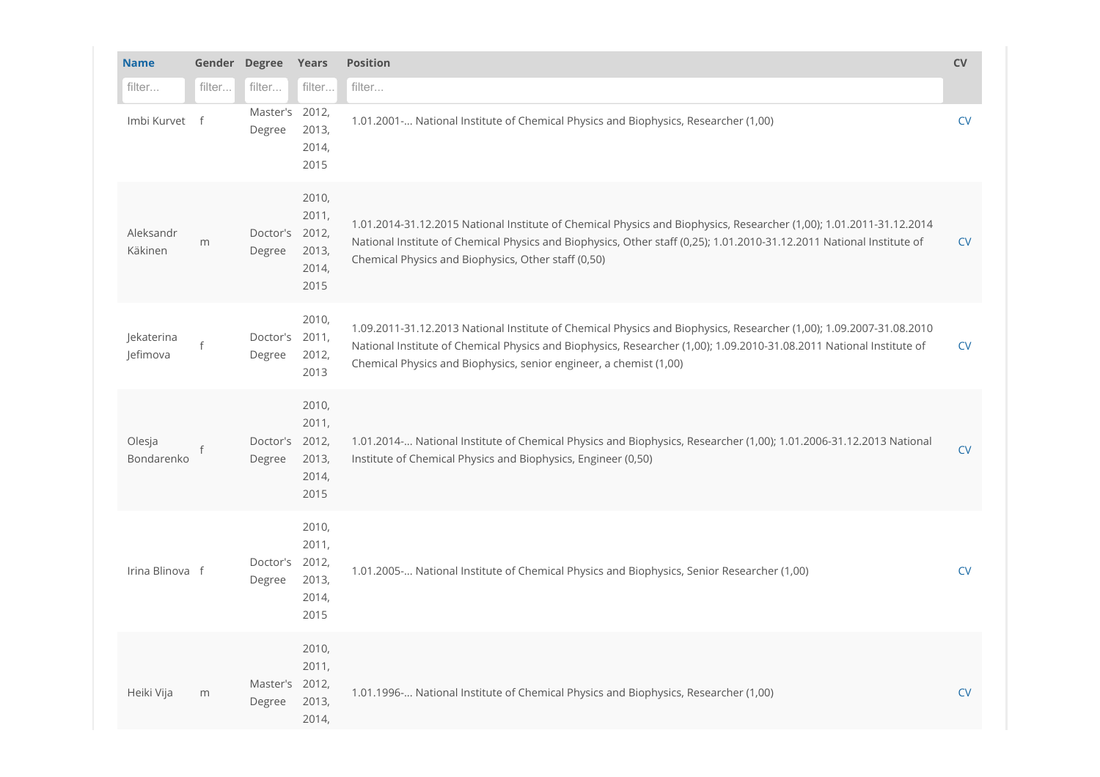| <b>Name</b>            | Gender Degree |                          | Years                                    | Position                                                                                                                                                                                                                                                                                                          | CV        |
|------------------------|---------------|--------------------------|------------------------------------------|-------------------------------------------------------------------------------------------------------------------------------------------------------------------------------------------------------------------------------------------------------------------------------------------------------------------|-----------|
| filter                 | filter        | filter                   | filter                                   | filter                                                                                                                                                                                                                                                                                                            |           |
| Imbi Kurvet f          |               | Master's 2012,<br>Degree | 2013,<br>2014,<br>2015                   | 1.01.2001 - National Institute of Chemical Physics and Biophysics, Researcher (1,00)                                                                                                                                                                                                                              | <b>CV</b> |
| Aleksandr<br>Käkinen   | m             | Doctor's 2012,<br>Degree | 2010,<br>2011,<br>2013,<br>2014,<br>2015 | 1.01.2014-31.12.2015 National Institute of Chemical Physics and Biophysics, Researcher (1,00); 1.01.2011-31.12.2014<br>National Institute of Chemical Physics and Biophysics, Other staff (0,25); 1.01.2010-31.12.2011 National Institute of<br>Chemical Physics and Biophysics, Other staff (0,50)               | <b>CV</b> |
| Jekaterina<br>Jefimova |               | Doctor's 2011,<br>Degree | 2010,<br>2012,<br>2013                   | 1.09.2011-31.12.2013 National Institute of Chemical Physics and Biophysics, Researcher (1,00); 1.09.2007-31.08.2010<br>National Institute of Chemical Physics and Biophysics, Researcher (1,00); 1.09.2010-31.08.2011 National Institute of<br>Chemical Physics and Biophysics, senior engineer, a chemist (1,00) | <b>CV</b> |
| Olesja<br>Bondarenko   |               | Doctor's 2012,<br>Degree | 2010,<br>2011,<br>2013,<br>2014,<br>2015 | 1.01.2014  National Institute of Chemical Physics and Biophysics, Researcher (1,00); 1.01.2006-31.12.2013 National<br>Institute of Chemical Physics and Biophysics, Engineer (0,50)                                                                                                                               | <b>CV</b> |
| Irina Blinova f        |               | Doctor's 2012,<br>Degree | 2010,<br>2011,<br>2013,<br>2014,<br>2015 | 1.01.2005- National Institute of Chemical Physics and Biophysics, Senior Researcher (1,00)                                                                                                                                                                                                                        | <b>CV</b> |
| Heiki Vija             | m             | Master's 2012,<br>Degree | 2010,<br>2011,<br>2013,<br>2014,         | 1.01.1996 - National Institute of Chemical Physics and Biophysics, Researcher (1,00)                                                                                                                                                                                                                              | <b>CV</b> |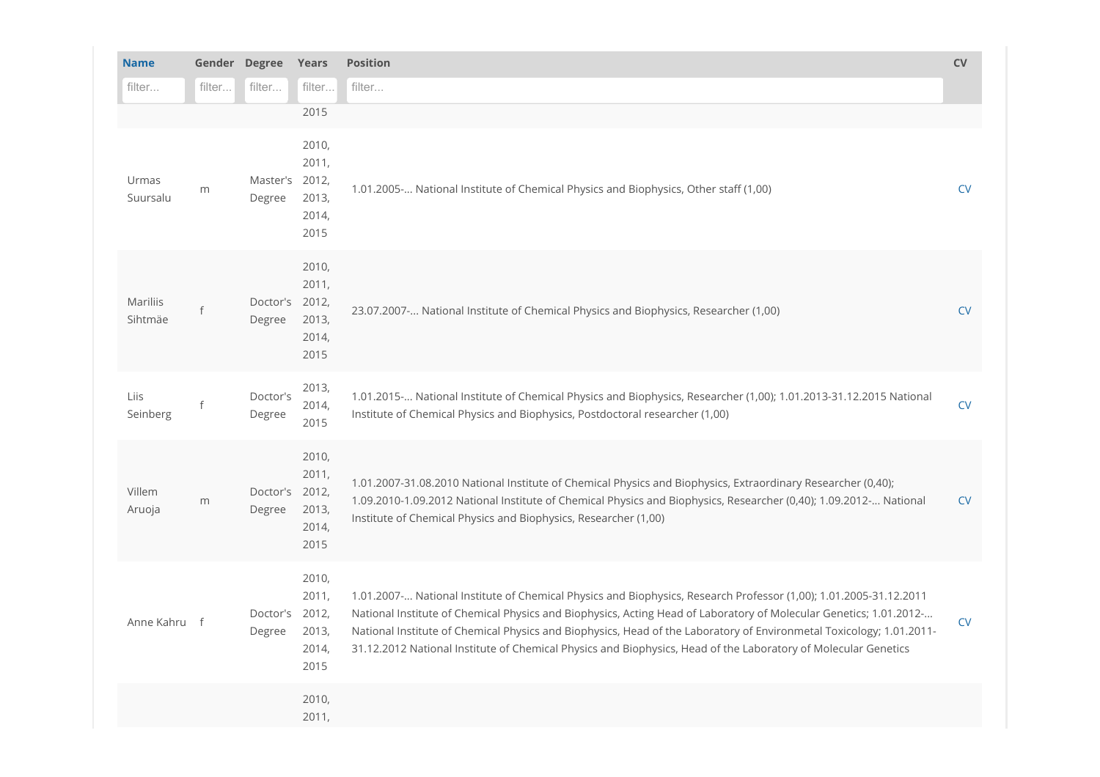| <b>Name</b>         | Gender Degree |                          | Years                                    | Position                                                                                                                                                                                                                                                                                                                                                                                                                                                                           | ${\sf CV}$ |
|---------------------|---------------|--------------------------|------------------------------------------|------------------------------------------------------------------------------------------------------------------------------------------------------------------------------------------------------------------------------------------------------------------------------------------------------------------------------------------------------------------------------------------------------------------------------------------------------------------------------------|------------|
| filter              | filter        | $\operatorname{filter}$  | filter                                   | filter                                                                                                                                                                                                                                                                                                                                                                                                                                                                             |            |
|                     |               |                          | 2015                                     |                                                                                                                                                                                                                                                                                                                                                                                                                                                                                    |            |
| Urmas<br>Suursalu   | ${\sf m}$     | Master's 2012,<br>Degree | 2010,<br>2011,<br>2013,<br>2014,<br>2015 | 1.01.2005- National Institute of Chemical Physics and Biophysics, Other staff (1,00)                                                                                                                                                                                                                                                                                                                                                                                               | <b>CV</b>  |
| Mariliis<br>Sihtmäe |               | Doctor's 2012,<br>Degree | 2010,<br>2011,<br>2013,<br>2014,<br>2015 | 23.07.2007- National Institute of Chemical Physics and Biophysics, Researcher (1,00)                                                                                                                                                                                                                                                                                                                                                                                               | <b>CV</b>  |
| Liis<br>Seinberg    |               | Doctor's<br>Degree       | 2013,<br>2014,<br>2015                   | 1.01.2015  National Institute of Chemical Physics and Biophysics, Researcher (1,00); 1.01.2013-31.12.2015 National<br>Institute of Chemical Physics and Biophysics, Postdoctoral researcher (1,00)                                                                                                                                                                                                                                                                                 | <b>CV</b>  |
| Villem<br>Aruoja    | m             | Doctor's 2012,<br>Degree | 2010,<br>2011,<br>2013,<br>2014,<br>2015 | 1.01.2007-31.08.2010 National Institute of Chemical Physics and Biophysics, Extraordinary Researcher (0,40);<br>1.09.2010-1.09.2012 National Institute of Chemical Physics and Biophysics, Researcher (0,40); 1.09.2012- National<br>Institute of Chemical Physics and Biophysics, Researcher (1,00)                                                                                                                                                                               | <b>CV</b>  |
| Anne Kahru f        |               | Doctor's 2012,<br>Degree | 2010,<br>2011,<br>2013,<br>2014,<br>2015 | 1.01.2007 - National Institute of Chemical Physics and Biophysics, Research Professor (1,00); 1.01.2005-31.12.2011<br>National Institute of Chemical Physics and Biophysics, Acting Head of Laboratory of Molecular Genetics; 1.01.2012-<br>National Institute of Chemical Physics and Biophysics, Head of the Laboratory of Environmetal Toxicology; 1.01.2011-<br>31.12.2012 National Institute of Chemical Physics and Biophysics, Head of the Laboratory of Molecular Genetics | <b>CV</b>  |
|                     |               |                          | 2010,<br>2011,                           |                                                                                                                                                                                                                                                                                                                                                                                                                                                                                    |            |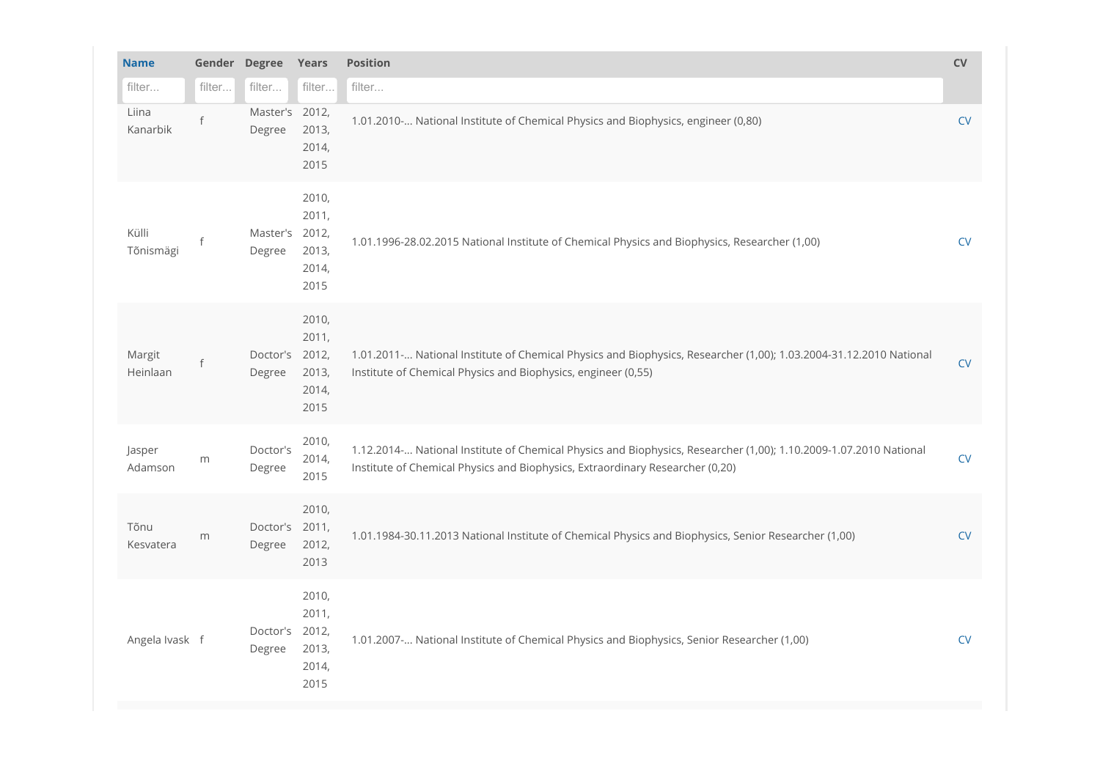| <b>Name</b>        | Gender Degree |                          | Years                                             | Position                                                                                                                                                                                           | ${\sf CV}$ |
|--------------------|---------------|--------------------------|---------------------------------------------------|----------------------------------------------------------------------------------------------------------------------------------------------------------------------------------------------------|------------|
| filter             | filter        | filter                   | filter                                            | filter                                                                                                                                                                                             |            |
| Liina<br>Kanarbik  |               | Master's 2012,<br>Degree | 2013,<br>2014,<br>2015                            | 1.01.2010- National Institute of Chemical Physics and Biophysics, engineer (0,80)                                                                                                                  | <b>CV</b>  |
| Külli<br>Tõnismägi |               | Master's 2012,<br>Degree | 2010,<br>2011,<br>2013,<br>2014,<br>2015          | 1.01.1996-28.02.2015 National Institute of Chemical Physics and Biophysics, Researcher (1,00)                                                                                                      | CV         |
| Margit<br>Heinlaan |               | Doctor's 2012,<br>Degree | 2010,<br>2011,<br>2013,<br>2014,<br>2015          | 1.01.2011- National Institute of Chemical Physics and Biophysics, Researcher (1,00); 1.03.2004-31.12.2010 National<br>Institute of Chemical Physics and Biophysics, engineer (0,55)                | CV         |
| Jasper<br>Adamson  | m             | Doctor's<br>Degree       | 2010,<br>2014,<br>2015                            | 1.12.2014- National Institute of Chemical Physics and Biophysics, Researcher (1,00); 1.10.2009-1.07.2010 National<br>Institute of Chemical Physics and Biophysics, Extraordinary Researcher (0,20) | CV         |
| Tõnu<br>Kesvatera  | m             | Doctor's 2011,<br>Degree | 2010,<br>2012,<br>2013                            | 1.01.1984-30.11.2013 National Institute of Chemical Physics and Biophysics, Senior Researcher (1,00)                                                                                               | ${\sf CV}$ |
| Angela Ivask f     |               | Doctor's<br>Degree       | 2010,<br>2011,<br>2012,<br>2013,<br>2014,<br>2015 | 1.01.2007- National Institute of Chemical Physics and Biophysics, Senior Researcher (1,00)                                                                                                         | CV         |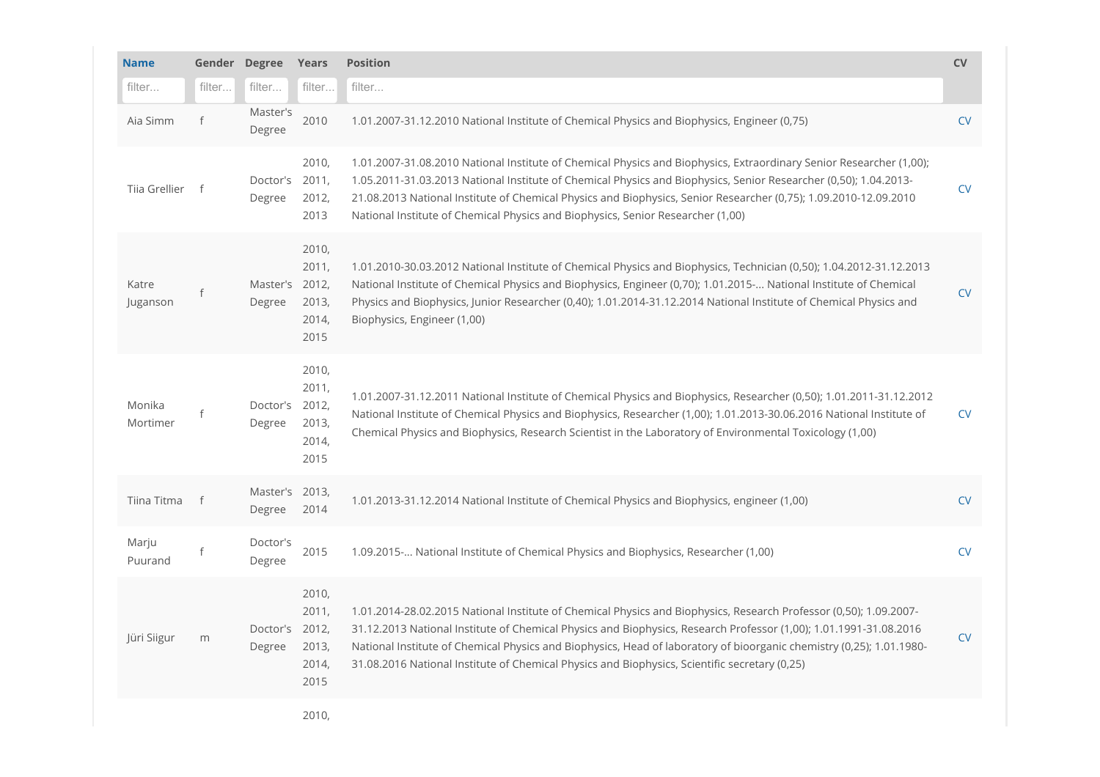| <b>Name</b>        |        | Gender Degree            | Years                                    | Position                                                                                                                                                                                                                                                                                                                                                                                                                                                        | CV        |
|--------------------|--------|--------------------------|------------------------------------------|-----------------------------------------------------------------------------------------------------------------------------------------------------------------------------------------------------------------------------------------------------------------------------------------------------------------------------------------------------------------------------------------------------------------------------------------------------------------|-----------|
| filter             | filter | filter                   | filter                                   | filter                                                                                                                                                                                                                                                                                                                                                                                                                                                          |           |
| Aia Simm           |        | Master's<br>Degree       | 2010                                     | 1.01.2007-31.12.2010 National Institute of Chemical Physics and Biophysics, Engineer (0,75)                                                                                                                                                                                                                                                                                                                                                                     | <b>CV</b> |
| Tija Grellier f    |        | Doctor's 2011,<br>Degree | 2010,<br>2012,<br>2013                   | 1.01.2007-31.08.2010 National Institute of Chemical Physics and Biophysics, Extraordinary Senior Researcher (1,00);<br>1.05.2011-31.03.2013 National Institute of Chemical Physics and Biophysics, Senior Researcher (0,50); 1.04.2013-<br>21.08.2013 National Institute of Chemical Physics and Biophysics, Senior Researcher (0,75); 1.09.2010-12.09.2010<br>National Institute of Chemical Physics and Biophysics, Senior Researcher (1,00)                  | <b>CV</b> |
| Katre<br>Juganson  |        | Master's 2012,<br>Degree | 2010,<br>2011,<br>2013,<br>2014,<br>2015 | 1.01.2010-30.03.2012 National Institute of Chemical Physics and Biophysics, Technician (0,50); 1.04.2012-31.12.2013<br>National Institute of Chemical Physics and Biophysics, Engineer (0,70); 1.01.2015- National Institute of Chemical<br>Physics and Biophysics, Junior Researcher (0,40); 1.01.2014-31.12.2014 National Institute of Chemical Physics and<br>Biophysics, Engineer (1,00)                                                                    | <b>CV</b> |
| Monika<br>Mortimer |        | Doctor's 2012,<br>Degree | 2010,<br>2011,<br>2013,<br>2014,<br>2015 | 1.01.2007-31.12.2011 National Institute of Chemical Physics and Biophysics, Researcher (0,50); 1.01.2011-31.12.2012<br>National Institute of Chemical Physics and Biophysics, Researcher (1,00); 1.01.2013-30.06.2016 National Institute of<br>Chemical Physics and Biophysics, Research Scientist in the Laboratory of Environmental Toxicology (1,00)                                                                                                         | <b>CV</b> |
| Tiina Titma        | f      | Master's 2013,<br>Degree | 2014                                     | 1.01.2013-31.12.2014 National Institute of Chemical Physics and Biophysics, engineer (1,00)                                                                                                                                                                                                                                                                                                                                                                     | <b>CV</b> |
| Marju<br>Puurand   |        | Doctor's<br>Degree       | 2015                                     | 1.09.2015- National Institute of Chemical Physics and Biophysics, Researcher (1,00)                                                                                                                                                                                                                                                                                                                                                                             | <b>CV</b> |
| Jüri Siigur        | m      | Doctor's 2012,<br>Degree | 2010,<br>2011,<br>2013,<br>2014,<br>2015 | 1.01.2014-28.02.2015 National Institute of Chemical Physics and Biophysics, Research Professor (0,50); 1.09.2007-<br>31.12.2013 National Institute of Chemical Physics and Biophysics, Research Professor (1,00); 1.01.1991-31.08.2016<br>National Institute of Chemical Physics and Biophysics, Head of laboratory of bioorganic chemistry (0,25); 1.01.1980-<br>31.08.2016 National Institute of Chemical Physics and Biophysics, Scientific secretary (0,25) | <b>CV</b> |
|                    |        |                          | 2010,                                    |                                                                                                                                                                                                                                                                                                                                                                                                                                                                 |           |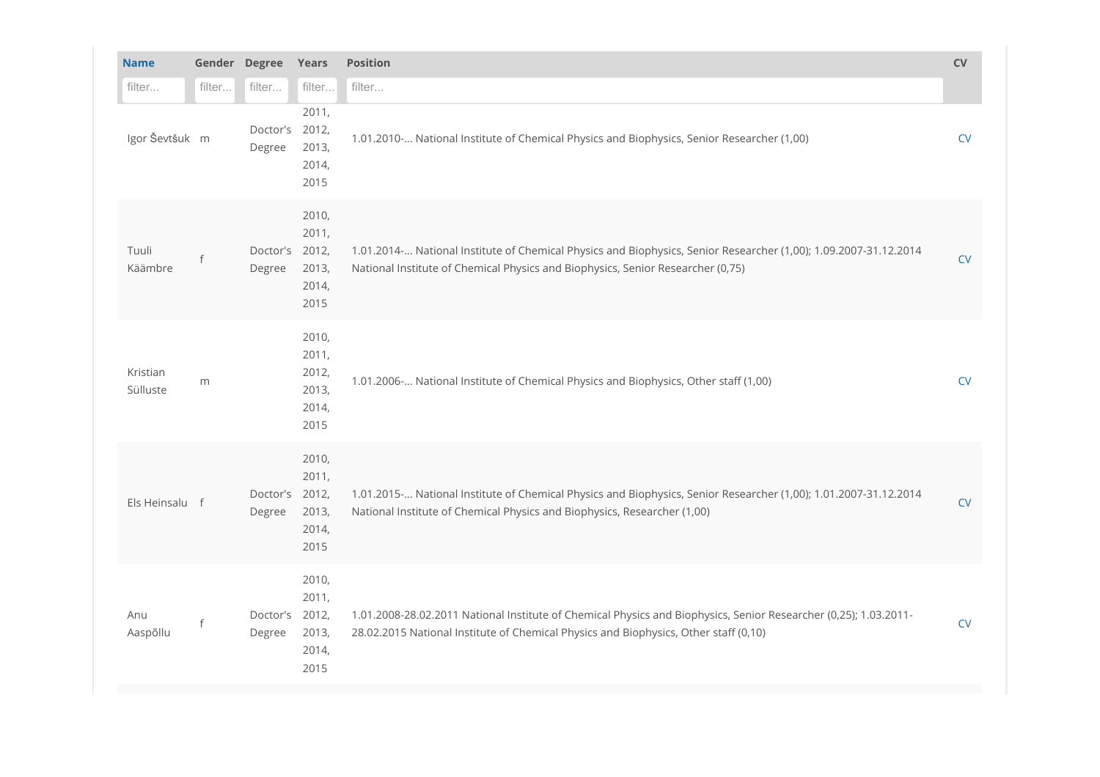| <b>Name</b>          |              | Gender Degree<br>Position<br>Years |                                                   |                                                                                                                                                                                                          |            |  |
|----------------------|--------------|------------------------------------|---------------------------------------------------|----------------------------------------------------------------------------------------------------------------------------------------------------------------------------------------------------------|------------|--|
| filter               | filter       | filter                             | filter                                            | filter                                                                                                                                                                                                   |            |  |
| Igor Ševtšuk m       |              | Doctor's 2012,<br>Degree           | 2011,<br>2013,<br>2014,<br>2015                   | 1.01.2010- National Institute of Chemical Physics and Biophysics, Senior Researcher (1,00)                                                                                                               | CV         |  |
| Tuuli<br>Käämbre     |              | Doctor's 2012,<br>Degree           | 2010,<br>2011,<br>2013,<br>2014,<br>2015          | 1.01.2014  National Institute of Chemical Physics and Biophysics, Senior Researcher (1,00); 1.09.2007-31.12.2014<br>National Institute of Chemical Physics and Biophysics, Senior Researcher (0,75)      | CV         |  |
| Kristian<br>Sülluste | m            |                                    | 2010,<br>2011,<br>2012,<br>2013,<br>2014,<br>2015 | 1.01.2006- National Institute of Chemical Physics and Biophysics, Other staff (1,00)                                                                                                                     | ${\sf CV}$ |  |
| Els Heinsalu f       |              | Doctor's 2012,<br>Degree           | 2010,<br>2011,<br>2013,<br>2014,<br>2015          | 1.01.2015 - National Institute of Chemical Physics and Biophysics, Senior Researcher (1,00); 1.01.2007-31.12.2014<br>National Institute of Chemical Physics and Biophysics, Researcher (1,00)            | CV         |  |
| Anu<br>Aaspõllu      | $\mathsf{f}$ | Doctor's 2012,<br>Degree           | 2010,<br>2011,<br>2013,<br>2014,<br>2015          | 1.01.2008-28.02.2011 National Institute of Chemical Physics and Biophysics, Senior Researcher (0,25); 1.03.2011-<br>28.02.2015 National Institute of Chemical Physics and Biophysics, Other staff (0,10) | CV         |  |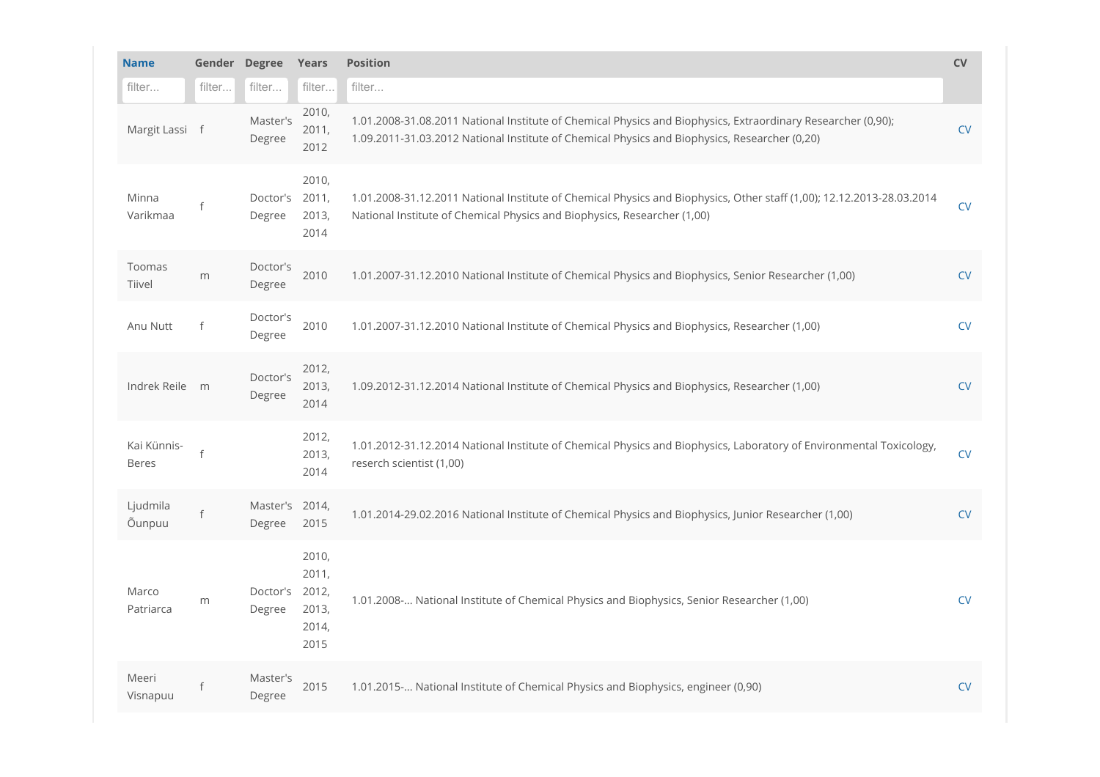| <b>Name</b>                 | Gender Degree<br><b>Position</b><br>Years |                          |                                          |                                                                                                                                                                                                               |            |  |
|-----------------------------|-------------------------------------------|--------------------------|------------------------------------------|---------------------------------------------------------------------------------------------------------------------------------------------------------------------------------------------------------------|------------|--|
| filter                      | filter                                    | filter                   | filter                                   | filter                                                                                                                                                                                                        |            |  |
| Margit Lassi f              |                                           | Master's<br>Degree       | 2010,<br>2011,<br>2012                   | 1.01.2008-31.08.2011 National Institute of Chemical Physics and Biophysics, Extraordinary Researcher (0,90);<br>1.09.2011-31.03.2012 National Institute of Chemical Physics and Biophysics, Researcher (0,20) | ${\sf CV}$ |  |
| Minna<br>Varikmaa           |                                           | Doctor's 2011,<br>Degree | 2010,<br>2013,<br>2014                   | 1.01.2008-31.12.2011 National Institute of Chemical Physics and Biophysics, Other staff (1,00); 12.12.2013-28.03.2014<br>National Institute of Chemical Physics and Biophysics, Researcher (1,00)             | <b>CV</b>  |  |
| Toomas<br>Tiivel            | m                                         | Doctor's<br>Degree       | 2010                                     | 1.01.2007-31.12.2010 National Institute of Chemical Physics and Biophysics, Senior Researcher (1,00)                                                                                                          | <b>CV</b>  |  |
| Anu Nutt                    | $\mathsf{f}$                              | Doctor's<br>Degree       | 2010                                     | 1.01.2007-31.12.2010 National Institute of Chemical Physics and Biophysics, Researcher (1,00)                                                                                                                 | <b>CV</b>  |  |
| Indrek Reile m              |                                           | Doctor's<br>Degree       | 2012,<br>2013,<br>2014                   | 1.09.2012-31.12.2014 National Institute of Chemical Physics and Biophysics, Researcher (1,00)                                                                                                                 | <b>CV</b>  |  |
| Kai Künnis-<br><b>Beres</b> |                                           |                          | 2012,<br>2013,<br>2014                   | 1.01.2012-31.12.2014 National Institute of Chemical Physics and Biophysics, Laboratory of Environmental Toxicology,<br>reserch scientist (1,00)                                                               | CV         |  |
| Ljudmila<br>Õunpuu          | $\mathsf{f}$                              | Master's 2014,<br>Degree | 2015                                     | 1.01.2014-29.02.2016 National Institute of Chemical Physics and Biophysics, Junior Researcher (1,00)                                                                                                          | <b>CV</b>  |  |
| Marco<br>Patriarca          | m                                         | Doctor's 2012,<br>Degree | 2010,<br>2011,<br>2013,<br>2014,<br>2015 | 1.01.2008 - National Institute of Chemical Physics and Biophysics, Senior Researcher (1,00)                                                                                                                   | <b>CV</b>  |  |
| Meeri<br>Visnapuu           |                                           | Master's<br>Degree       | 2015                                     | 1.01.2015- National Institute of Chemical Physics and Biophysics, engineer (0,90)                                                                                                                             | CV         |  |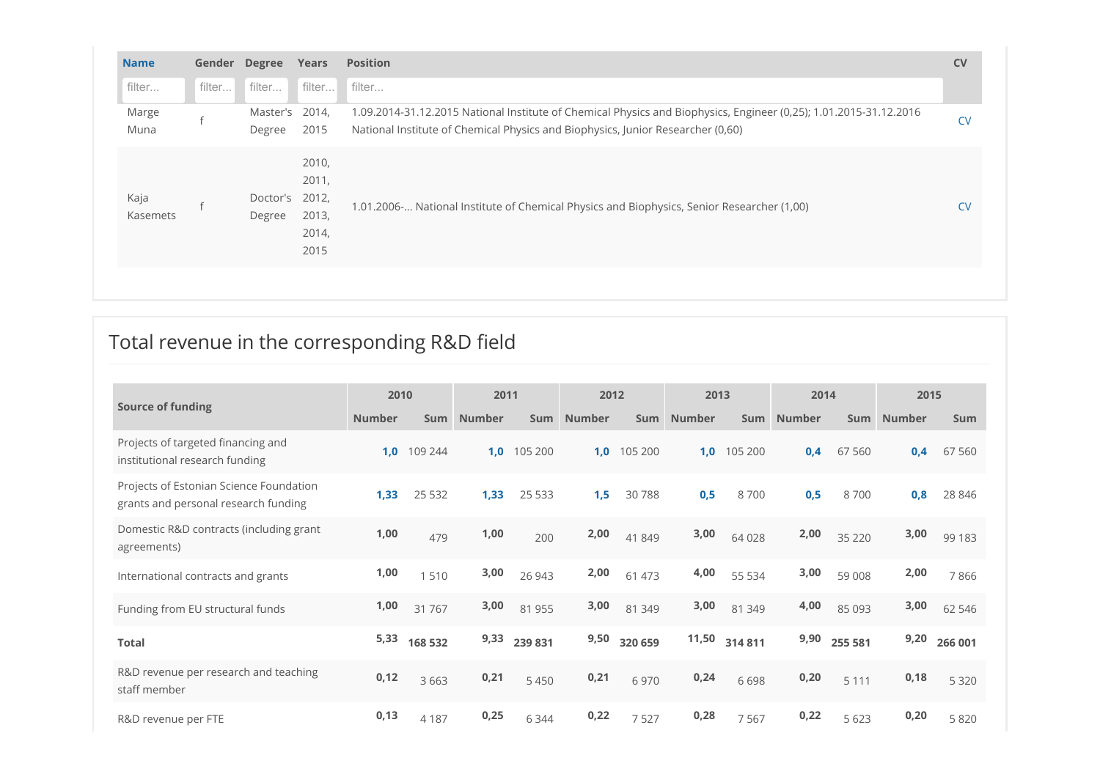| filter filter filter filter<br>filter<br>Master's 2014,<br>1.09.2014-31.12.2015 National Institute of Chemical Physics and Biophysics, Engineer (0,25); 1.01.2015-31.12.2016<br>Marge<br>National Institute of Chemical Physics and Biophysics, Junior Researcher (0,60)<br>2015<br>Muna<br>Degree<br>2010,<br>2011,<br>Doctor's 2012,<br>Kaja<br>1.01.2006- National Institute of Chemical Physics and Biophysics, Senior Researcher (1,00)<br>2013,<br>Kasemets<br>Degree<br>2014,<br>2015 | <b>Name</b> | Gender Degree Years | Position | <b>CV</b> |
|----------------------------------------------------------------------------------------------------------------------------------------------------------------------------------------------------------------------------------------------------------------------------------------------------------------------------------------------------------------------------------------------------------------------------------------------------------------------------------------------|-------------|---------------------|----------|-----------|
|                                                                                                                                                                                                                                                                                                                                                                                                                                                                                              |             |                     |          |           |
|                                                                                                                                                                                                                                                                                                                                                                                                                                                                                              |             |                     |          | <b>CV</b> |
|                                                                                                                                                                                                                                                                                                                                                                                                                                                                                              |             |                     |          | <b>CV</b> |

# Total revenue in the corresponding R&D field

|                                                                                 | 2010          |             | 2011       |              | 2012       |              | 2013       |             | 2014       |            | 2015       |              |
|---------------------------------------------------------------------------------|---------------|-------------|------------|--------------|------------|--------------|------------|-------------|------------|------------|------------|--------------|
| <b>Source of funding</b>                                                        | <b>Number</b> |             | Sum Number |              | Sum Number |              | Sum Number |             | Sum Number |            | Sum Number | Sum          |
| Projects of targeted financing and<br>institutional research funding            |               | 1,0 109 244 |            | 1,0 105 200  |            | 1,0 105 200  |            | 1,0 105 200 |            | 0,4 67 560 |            | 0,4 67 560   |
| Projects of Estonian Science Foundation<br>grants and personal research funding | 1,33          | 25 5 32     | 1,33       | 25 5 33      | 1,5        | 30788        | 0,5        | 8700        | 0,5        | 8700       | 0,8        | 28 846       |
| Domestic R&D contracts (including grant<br>agreements)                          | 1,00          | 479         | 1,00       | 200          | 2,00       | 41 849       | 3,00       | 64 0 28     | 2,00       | 35 2 20    | 3,00       | 99 183       |
| International contracts and grants                                              | 1,00          | 1510        | 3,00       | 26 943       | 2,00       | 61 473       | 4,00       | 55 5 34     | 3,00       | 59 008     | 2,00       | 7866         |
| Funding from EU structural funds                                                | 1,00          | 31 767      | 3,00       | 81 955       | 3,00       | 81 349       | 3,00       | 81 349      | 4,00       | 85 0 93    | 3,00       | 62 546       |
| <b>Total</b>                                                                    | 5,33          | 168 532     |            | 9,33 239 831 |            | 9,50 320 659 | 11,50      | 314 811     | 9,90       | 255 581    |            | 9,20 266 001 |
| R&D revenue per research and teaching<br>staff member                           | 0,12          | 3663        | 0,21       | 5450         | 0,21       | 6970         | 0,24       | 6698        | 0,20       | 5 1 1 1    | 0,18       | 5 3 2 0      |
| R&D revenue per FTE                                                             | 0,13          | 4 1 8 7     | 0,25       | 6344         | 0,22       | 7527         | 0,28       | 7567        | 0,22       | 5 6 23     | 0,20       | 5 8 2 0      |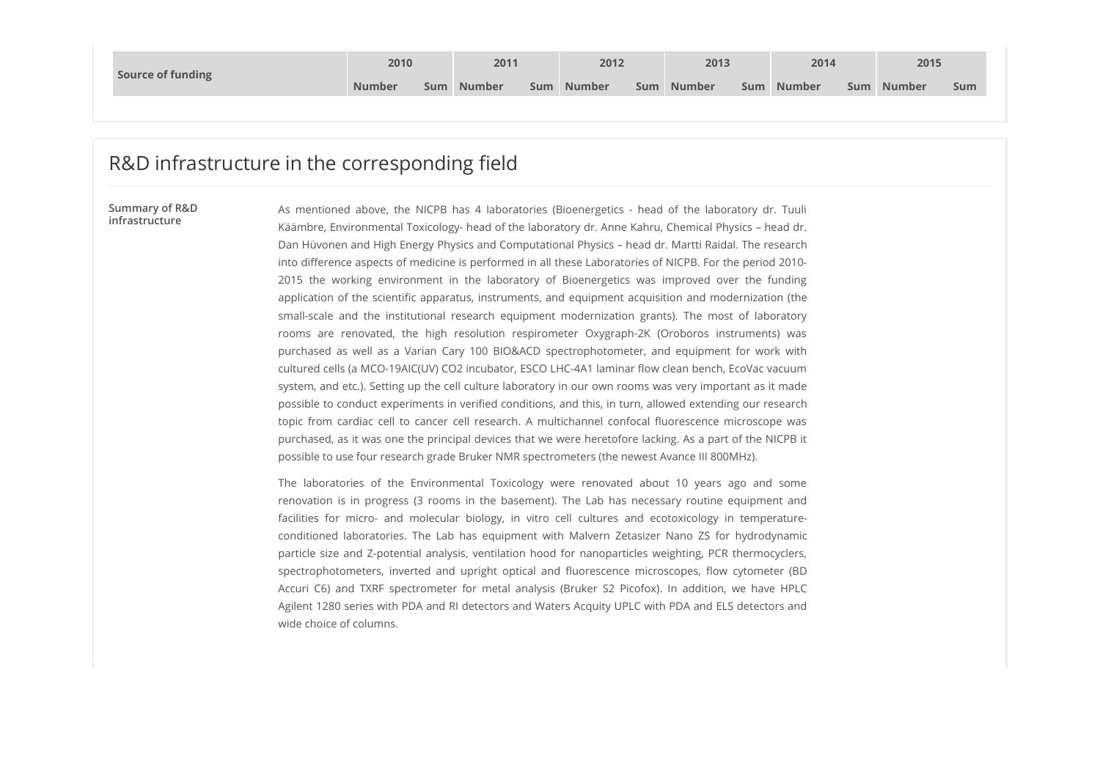| <b>Number</b><br><b>Number</b><br><b>Number</b><br>Number<br><b>Number</b><br>Number<br>Sum<br>Sum<br>Sum<br>Sum<br>Sum<br>Sum | Source of funding | 2010 | 2011 | 2012 | 2013 | 2014 | 2015 |  |
|--------------------------------------------------------------------------------------------------------------------------------|-------------------|------|------|------|------|------|------|--|
|                                                                                                                                |                   |      |      |      |      |      |      |  |

## R&D infrastructure in the corresponding field

2010 2011 2012 2013 2014 2015<br>
2014 2015<br>
2015 Number Sum Number Sum Number Sum Number Sum Number Sum Number Sum<br>
2015 2015<br>
As mentioned above, the NICPB has 4 laboratories (Bioenergetics - head of the laboratory dr. Tuul Käämbre, Environmental Toxicology- head of the laboratory dr. Anne Kahru, Chemical Physics – head dr. infrastructure Dan Hüvonen and High Energy Physics and Computational Physics – head dr. Martti Raidal. The research into difference aspects of medicine is performed in all these Laboratories of NICPB. For the period 2010- 2010 2011 2012 2013 2014 2014 2013<br>
2016 Number Sum Number Sum Number Sum Number Sum Number Sum Number Sum<br>
2016 Number Sum Number Sum Number Sum Number Sum Number Sum<br>
2016 As mentioned above, the NICPB has 4 laboratories application of the scientific apparatus, instruments, and equipment acquisition and modernization (the **2010 2011 2012 2013 2013 2014 2015 2016 Number 5um Number 5um Number 5um Number 5um Number 5um All and the institutional research equipment in the institutional research equipment model (and the 2010 2011 2012 2013 2013 2013 2013 2013 2014 2015 Sum here can all the sum summer can all the corresponding field** *C***</del> and the MCPB has 4 laboratories (Bioenergetics - head of the laboratory of r. Tu** purchased as well as a Varian Cary 100 BIO&ACD spectrophotometer, and equipment for work with cultured cells (a MCO-19AIC(UV) CO2 incubator, ESCO LHC-4A1 laminar flow clean bench, EcoVac vacuum system, and etc.). Setting up the cell culture laboratory in our own rooms was very important as it made possible to conduct experiments in verified conditions, and this, in turn, allowed extending our research Example 1. The COTTES point of the Nichrick of the Comparison of the Confocal fluorescence was the cardiac of the COTTES point of the COTTES has a laboratories (Bioeningstics - head of the laboratory dr. Tuuli and the conf purchased, as it was one the principal devices that we were heretofore lacking. As a part of the NICPB it possible to use four research grade Bruker NMR spectrometers (the newest Avance III 800MHz). **I in the corresponding field**<br>As mentioned above, the NICPB has 4 laboratories (Bioenergetics - head of the laboratory dr. Tuuli<br>Namin's Environmental Toxicology-head of the laboratory dr. Anne Kahn, Chemical Physics - he **i fin the corressponding field**<br>As mentioned above, the NICPB has 4 laboratories (Bioenregetics - head of the laboratory dr. Tuuli<br>Kaamive, Environmental Toxicology-head of the laboratory dr. Ame Kahru, Otemical Physics -FIT LTTE COUTTESYDOPHOIDITY THEIG COMETABLE SIGNIFIES A SURFACE CONDUCT CHEMIC INTERFERITS CONDUCT A AND CONDUCT CHEMIC INTERFERITS (SCILIT THE CONDUCTS CONDUCTS (THE CHEMIC INTERFERITS INTERFERITS INTERFERITS (2015) the w As mentioned above, the NICPR has 4 laboratories (Bioenergettics - head of the laboratory dr. Tuali<br>Namitrie, Environmental Toxicology- head of the laboratory dr. Ame Kahnu, Chemical Physics – head of:<br>Dun Horomen and High As mentioned above, the NICPB has 4 laboratories (Bloomergedcs - hood of the laboratory d.r. Tualis channels, forwards for one of the laboratory of A one sales of the laboratory of nanoparticles weights of the discussion o Khaimbre, Environmental Tooticingy-head of the laboratory dr. Ame Kahtu, Chemical Physics – head dr.<br>Ton vironmen and high freesge Physics and Computational Physics – head de. Martit Botal, The recessor<br>on the fluorence an Dan Hüvenen and High Energy Physics and Computational Physics - head of. Martif Beldia. The research is not absorption of the second and the lense takes notice is enter for the period 2010<br>and Highera analysis (Brukerine Summary of R&D As mentioned above, the NICPB has 4 laboratories (Bioenergetics - head of the laboratory dr. Tuuli

Agilent 1280 series with PDA and RI detectors and Waters Acquity UPLC with PDA and ELS detectors and wide choice of columns.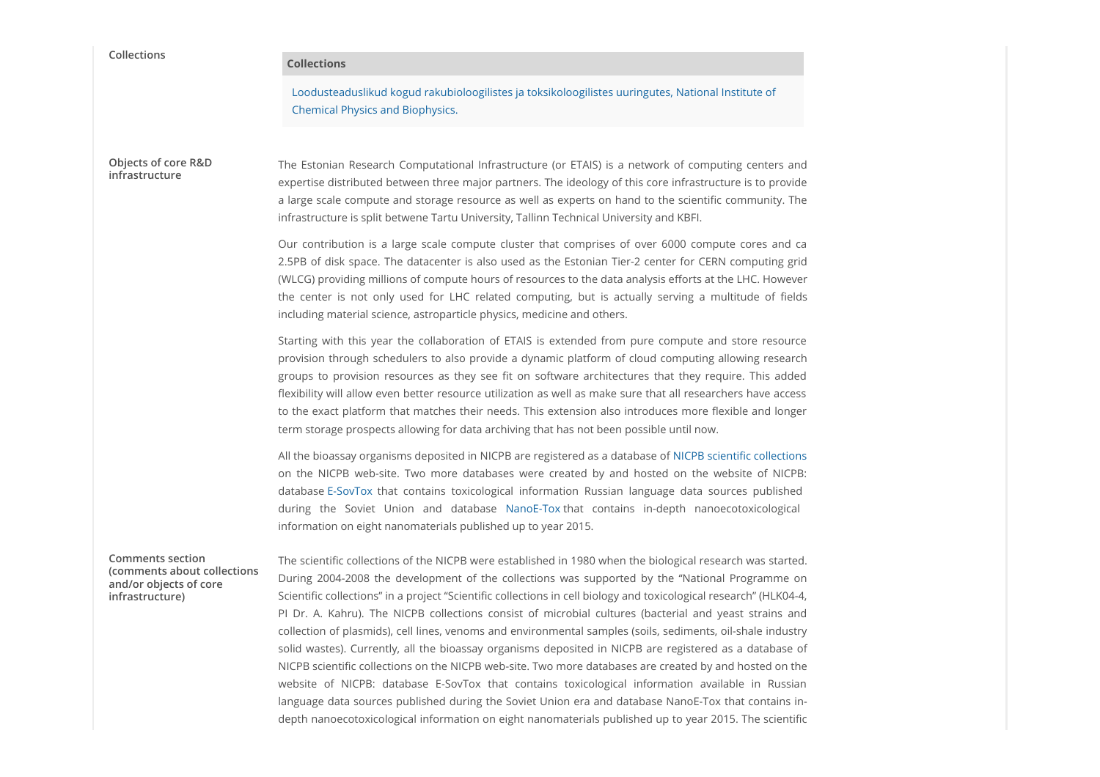| Collections                                                                                          | <b>Collections</b>                                                                                                                                                                                                                                                                                                                                                                                                                                                                                                                                                                                                                                                                                                                                                                                                                                                                                                                                                                                                                                                                                        |
|------------------------------------------------------------------------------------------------------|-----------------------------------------------------------------------------------------------------------------------------------------------------------------------------------------------------------------------------------------------------------------------------------------------------------------------------------------------------------------------------------------------------------------------------------------------------------------------------------------------------------------------------------------------------------------------------------------------------------------------------------------------------------------------------------------------------------------------------------------------------------------------------------------------------------------------------------------------------------------------------------------------------------------------------------------------------------------------------------------------------------------------------------------------------------------------------------------------------------|
|                                                                                                      | Loodusteaduslikud kogud rakubioloogilistes ja toksikoloogilistes uuringutes, National Institute of<br><b>Chemical Physics and Biophysics.</b>                                                                                                                                                                                                                                                                                                                                                                                                                                                                                                                                                                                                                                                                                                                                                                                                                                                                                                                                                             |
| Objects of core R&D<br>infrastructure                                                                | The Estonian Research Computational Infrastructure (or ETAIS) is a network of computing centers and<br>expertise distributed between three major partners. The ideology of this core infrastructure is to provide<br>a large scale compute and storage resource as well as experts on hand to the scientific community. The<br>infrastructure is split betwene Tartu University, Tallinn Technical University and KBFI.                                                                                                                                                                                                                                                                                                                                                                                                                                                                                                                                                                                                                                                                                   |
|                                                                                                      | Our contribution is a large scale compute cluster that comprises of over 6000 compute cores and ca<br>2.5PB of disk space. The datacenter is also used as the Estonian Tier-2 center for CERN computing grid<br>(WLCG) providing millions of compute hours of resources to the data analysis efforts at the LHC. However<br>the center is not only used for LHC related computing, but is actually serving a multitude of fields<br>including material science, astroparticle physics, medicine and others.                                                                                                                                                                                                                                                                                                                                                                                                                                                                                                                                                                                               |
|                                                                                                      | Starting with this year the collaboration of ETAIS is extended from pure compute and store resource<br>provision through schedulers to also provide a dynamic platform of cloud computing allowing research<br>groups to provision resources as they see fit on software architectures that they require. This added<br>flexibility will allow even better resource utilization as well as make sure that all researchers have access<br>to the exact platform that matches their needs. This extension also introduces more flexible and longer<br>term storage prospects allowing for data archiving that has not been possible until now.                                                                                                                                                                                                                                                                                                                                                                                                                                                              |
|                                                                                                      | All the bioassay organisms deposited in NICPB are registered as a database of NICPB scientific collections<br>on the NICPB web-site. Two more databases were created by and hosted on the website of NICPB:<br>database E-SovTox that contains toxicological information Russian language data sources published<br>during the Soviet Union and database NanoE-Tox that contains in-depth nanoecotoxicological<br>information on eight nanomaterials published up to year 2015.                                                                                                                                                                                                                                                                                                                                                                                                                                                                                                                                                                                                                           |
| <b>Comments section</b><br>(comments about collections)<br>and/or objects of core<br>infrastructure) | The scientific collections of the NICPB were established in 1980 when the biological research was started.<br>During 2004-2008 the development of the collections was supported by the "National Programme on<br>Scientific collections" in a project "Scientific collections in cell biology and toxicological research" (HLK04-4,<br>PI Dr. A. Kahru). The NICPB collections consist of microbial cultures (bacterial and yeast strains and<br>collection of plasmids), cell lines, venoms and environmental samples (soils, sediments, oil-shale industry<br>solid wastes). Currently, all the bioassay organisms deposited in NICPB are registered as a database of<br>NICPB scientific collections on the NICPB web-site. Two more databases are created by and hosted on the<br>website of NICPB: database E-SovTox that contains toxicological information available in Russian<br>language data sources published during the Soviet Union era and database NanoE-Tox that contains in-<br>depth nanoecotoxicological information on eight nanomaterials published up to year 2015. The scientific |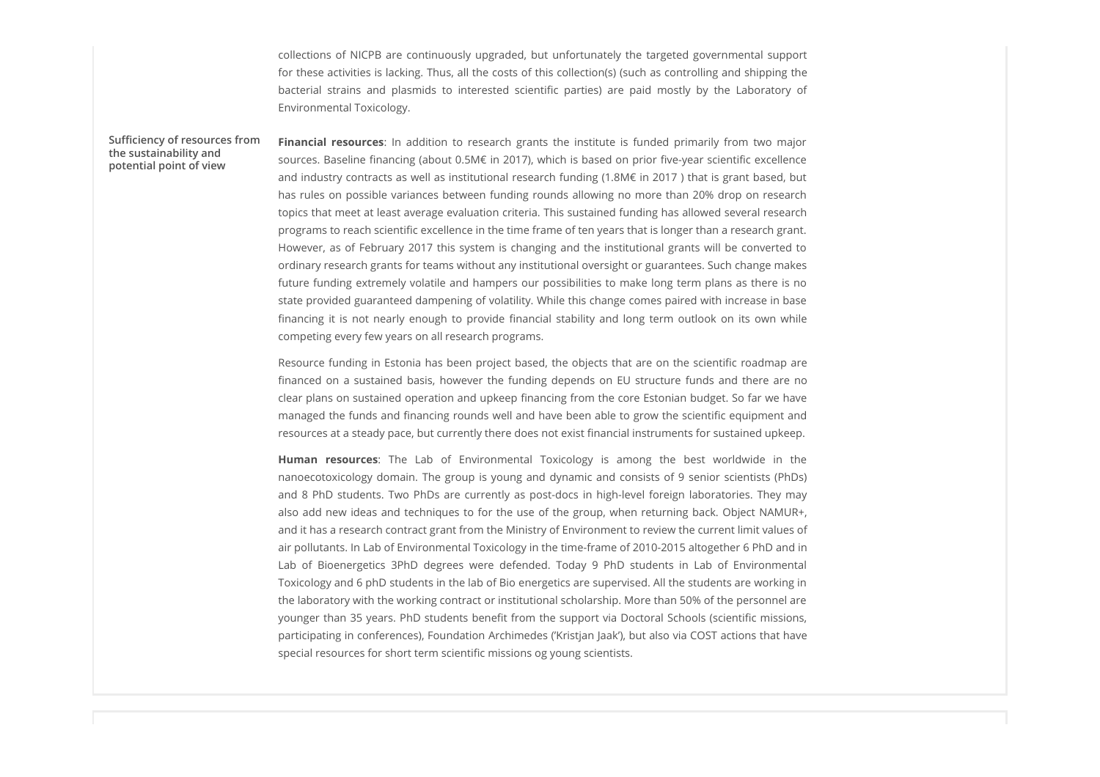collections of NICPB are continuously upgraded, but unfortunately the targeted governmental support<br>for these activities is lacking. Thus, all the costs of this collection(s) (such as controlling and shipping the<br>bacterial for these activities is lacking. Thus, all the costs of this collection(s) (such as controlling and shipping the collections of NICPB are continuously upgraded, but unfortunately the targeted governmental support<br>for these activities is lacking. Thus, all the costs of this collection(s) (such as controlling and shipping the<br>bacterial Environmental Toxicology.

# potential point of view

rollections of NICPB are continuously upgraded, but unfortunately the targeted governmental support<br>for these activities is lacking. Thus, all the costs of this collection(s) (such as controlling and shipping the<br>bacterial the sustainability and<br>potential noint of view sources. Baseline financing (about 0.5M€ in 2017), which is based on prior five-year scientific excellence and industry contracts as well as institutional research funding (1.8M€ in 2017 ) that is grant based, but has rules on possible variances between funding rounds allowing no more than 20% drop on research topics that meet at least average evaluation criteria. This sustained funding has allowed several research programs to reach scientific excellence in the time frame of ten years that is longer than a research grant. However, as of February 2017 this system is changing and the institutional grants will be converted to ordinary research grants for teams without any institutional oversight or guarantees. Such change makes future funding extremely volatile and hampers our possibilities to make long term plans as there is no state provided guaranteed dampening of volatility. While this change comes paired with increase in base collections of NICPB are continuously upgraded, but unfortunately the targeted governmental support<br>or these ectivities is ledding. Thus, all the costs of this collectionts) such as controlling and shipping the<br>hactereal s competing every few years on all research programs. collectons of NICPB are continuously upgraded, but unfortunately the targeted governmental support<br>obteches is lacking. Thus, all the costs of this collection(s) such as composing and shipping the<br>obteches structure and pl Environmental Toxicology.<br>
Emarcial resources: In indidision to research grants the institute is funded primarily from two major<br>
Sources, Baseline financing (about 0.5ME in 2017), which is based on prior five-year scienti Financial researces: In addition to research gamela the institute is funded phrom two major<br>statics. Statistics the area of a photon in the students are current in the major students. The students are current at the studen Sufficiency of resources from Financial resources: In addition to research grants the institute is funded primarily from two major

Resource funding in Estonia has been project based, the objects that are on the scientific roadmap are clear plans on sustained operation and upkeep financing from the core Estonian budget. So far we have managed the funds and financing rounds well and have been able to grow the scientific equipment and resources at a steady pace, but currently there does not exist financial instruments for sustained upkeep.

nanoecotoxicology domain. The group is young and dynamic and consists of 9 senior scientists (PhDs) also add new ideas and techniques to for the use of the group, when returning back. Object NAMUR+, and it has a research contract grant from the Ministry of Environment to review the current limit values of air pollutants. In Lab of Environmental Toxicology in the time-frame of 2010-2015 altogether 6 PhD and in Iopis that least a least average evaluation criteria. This austioned funding has allowed several researchy in<br>programs to reach scientific excellence in the time frame of ten years that is longer than a research grant<br>Howe Toxicology and 6 phD students in the lab of Bio energetics are supervised. All the students are working in the laboratory with the working contract or institutional scholarship. More than 50% of the personnel are younger than 35 years. PhD students benefit from the support via Doctoral Schools (scientific missions, participating in conferences), Foundation Archimedes ('Kristjan Jaak'), but also via COST actions that have special resources for short term scientific missions og young scientists.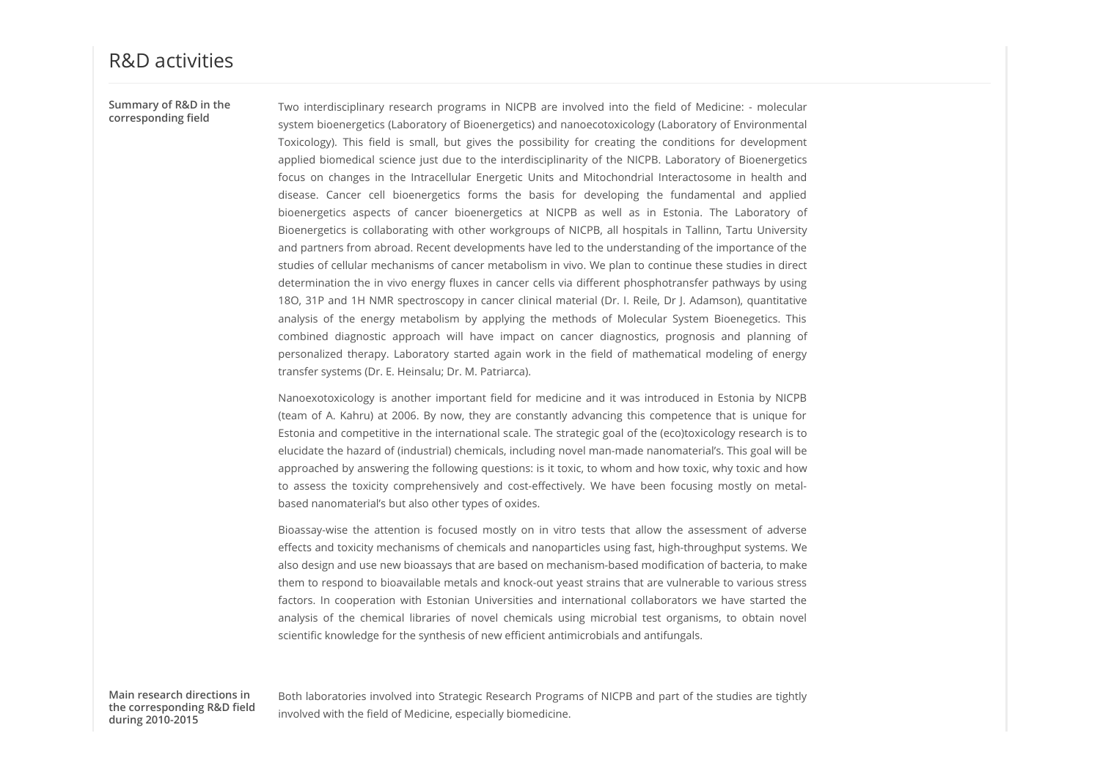Two interdisciplinary research programs in NICPB are involved into the field of Medicine: - molecular<br>system bioenergetics (Laboratory of Bioenergetics) and nanoecotoxicology (Laboratory of Environmental<br>Toxicology). This system bioenergetics (Laboratory of Bioenergetics) and nanoecotoxicology (Laboratory of Environmental corresponding field Two interdisciplinary research programs in NICPB are involved into the field of Medicine: - molecular<br>system bioenergetics (Laboratory of Bioenergetics) and nanoecotoxicology (Laboratory of Environmental<br>Toxicology). This Two interdisciplinary research programs in NICPB are involved into the field of Medicine: - molecular<br>system bioenergetics (Laboratory of Bioenergetics) and nanoecotoxicology (Laboratory of Environmental<br>Toxicology), This Two interdisciplinary research programs in NICPB are involved into the field of Medicine: - molecular<br>system bioenergetics (Laboratory of Bioenergetics) and nanoecotoxicology (Laboratory of Environmental<br>Toxicology). This Two interdisciplinary research programs in NICPB are involved into the field of Medicine: - molecular<br>system bioenergetics (Laboratory of Bioenergetics) and nanoecotoxicology (Laboratory of Environmental<br>Toxicology). This Two interdisciplinary research programs in NICPB are involved into the field of Medicine: - molecular<br>Toxicology). This field is small, but gives the possibility for creating the conditions for development<br>Toxicology). Thi Two interdisciplinary research programs in NICPB are involved into the field of Medicine: - molecular system bioenergetics (Laboratory of Bioenergetics) and nanoecotoxicology (Laboratory of Environmental Toxicology). This and partners from abroad. Recent developments have led to the understanding of the importance of the studies of cellular mechanisms of cancer metabolism in vivo. We plan to continue these studies in direct determination the in vivo energy fluxes in cancer cells via different phosphotransfer pathways by using 18O, 31P and 1H NMR spectroscopy in cancer clinical material (Dr. I. Reile, Dr J. Adamson), quantitative Two interdisciplinary research programs in NICPB are involved into the field of Medicine: - molecular paramitiones<br>paramitiones presented Clubratic System paramitiones of Molecular Clubratic System Depinded System Bioenege Two interdociplinary research programs in NCPB are involved into the field of Medicine: - molecolary<br>system bioevergedet (aboordary of Bioevergedets) and miorococoocions (daboratory of Environmental<br>problem bioevergents (a Two interdistiplinary reearch programs in NICPB are involved into the field of Medicine: - molecular<br>position bioenregicts (taboratory of Bioenregicts) and nanoecotoxicology (Laboratory of Environmental<br>rapplied biomedical transfer systems (Dr. E. Heinsalu; Dr. M. Patriarca). Two interdisciplinary research programs in NLCPB are involved into the field of Medicine: - molecular<br>system bioevregets: (Laboratory of Bioevregetsts) and naneoctooicology it dobrators for censelepment<br>papele biomedical s Two interdisciplinary research programs in MIDPB are involved into the field of Medicine: - molecular procedure of European proportion and molecular competitions of European proportions (and a molecular competence) of Euro Toxicology). This field is smull, but gives the possibility for creating the conditions of development<br>oppled bonnedicis science just due to the lensed columns of the entrepation and conduction of the entrepations<br>focus co focus on changes in the lattracellular freegetic Units and Mitochonital lattentions in heath and the attentions in the state most of GRB and the attentions in the state of the attentions in the state of the attention is a and partners from abroad. Recent developments have led to the understanding of the importance of the<br>studies of cellular mechanisms of cancer metabolism in wor. We plan to construin the particular district<br>stochistics and Summary of R&D in the Two interdisciplinary research programs in NICPB are involved into the field of Medicine: - molecular

Estonia and competitive in the international scale. The strategic goal of the (eco)toxicology research is to elucidate the hazard of (industrial) chemicals, including novel man-made nanomaterial's. This goal will be approached by answering the following questions: is it toxic, to whom and how toxic, why toxic and how based nanomaterial's but also other types of oxides. studies of cellular mechanisms of cancer mechanism in vion. We plan to continue these studies of ifrect and the chemical microbial in direct phase analysis of the mechanism analysis of the meengy mechanism material and the

effects and toxicity mechanisms of chemicals and nanoparticles using fast, high-throughput systems. We also design and use new bioassays that are based on mechanism-based modification of bacteria, to make them to respond to bioavailable metals and knock-out yeast strains that are vulnerable to various stress scientific knowledge for the synthesis of new efficient antimicrobials and antifungals.

the corresponding R&D field during 2010-2015

Main research directions in a both laboratories involved into Strategic Research Programs of NICPB and part of the studies are tightly and the studies are tightly involved with the field of Medicine, especially biomedicine.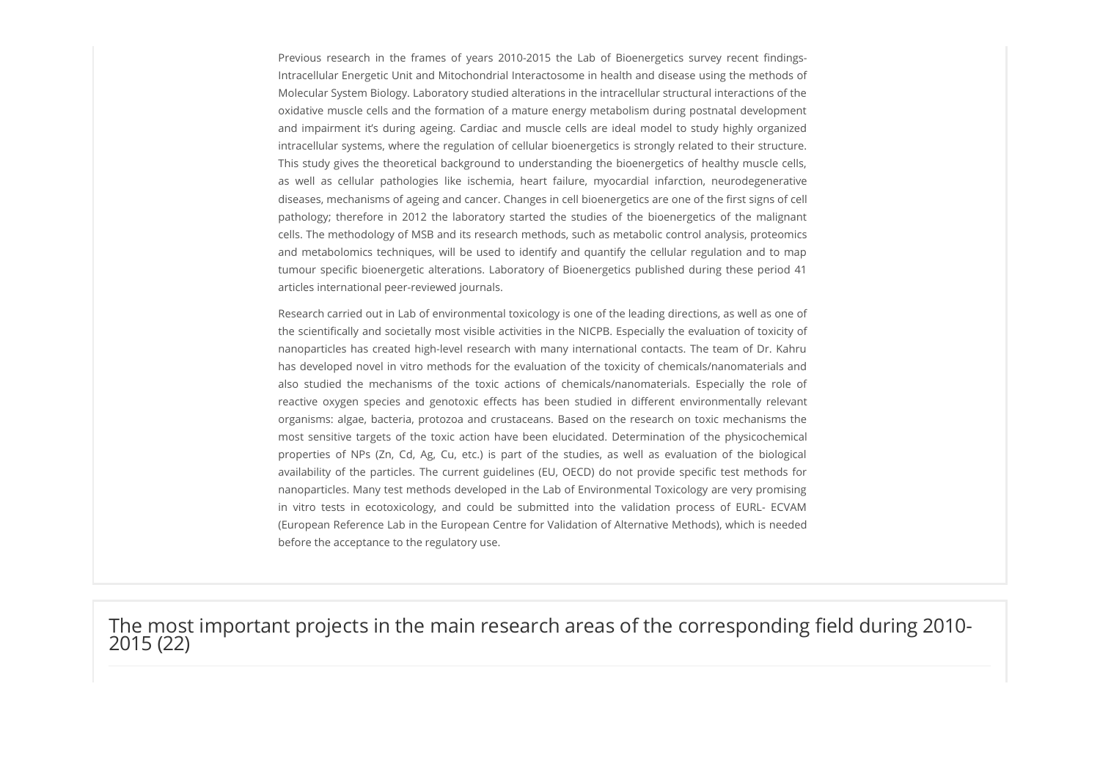Previous research in the frames of years 2010-2015 the Lab of Bioenergetics survey recent findings-<br>Intracellular Energetic Unit and Mitochondrial Interactosome in health and disease using the methods of<br>Molecular System B Intracellular Energetic Unit and Mitochondrial Interactosome in health and disease using the methods of Molecular System Biology. Laboratory studied alterations in the intracellular structural interactions of the oxidative muscle cells and the formation of a mature energy metabolism during postnatal development Previous research in the frames of years 2010-2015 the Lab of Bioenergetics survey recent findings-<br>Intracellular Energetic Unit and Mitochondrial Interactosome in health and disease using the methods of<br>Molecular System B intracellular systems, where the regulation of cellular bioenergetics is strongly related to their structure. This study gives the theoretical background to understanding the bioenergetics of healthy muscle cells, Previous research in the frames of years 2010-2015 the Lab of Bioenergetics survey recent findings-<br>Intracellular Energetic Unit and Mitochondrial Interactosome in health and disease using the methods of<br>Molecular System B diseases, mechanisms of ageing and cancer. Changes in cell bioenergetics are one of the first signs of cell Previous research in the frames of years 2010-2015 the Labor Bioenergetics survey recent findings-<br>Intracellular Energetic Unit and Mitochondrial Interactosome in health and disease using the methods of<br>Molecular System Bi cells. The methodology of MSB and its research methods, such as metabolic control analysis, proteomics Previous research in the frames of years 2010-2015 the Lab of Bloenergetics survey recent findings-<br>Intraccellular Energetic Unit and Mitochondrial Interactosome in health and disease using the methods of<br>Molecular System tumour specific bioenergetic alterations. Laboratory of Bioenergetics published during these period 41 articles international peer-reviewed journals. Previous research in the frames of years 2010/2015 the table of floorenegetics survey recent findings-<br>intracellular Energiest Link and Mitchcondral Interactionsmin in the introductions syntem line mechanisms of the<br>divide Previous reassered in the frames of years 2010-2015 the Lab of Bloomerguitics survey recent findings-<br>Interactional renegatic Unit and Microbonotrolia lenses accome in health and disease using the relevants of the<br>Midelela

Research carried out in Lab of environmental toxicology is one of the leading directions, as well as one of the scientifically and societally most visible activities in the NICPB. Especially the evaluation of toxicity of nanoparticles has created high-level research with many international contacts. The team of Dr. Kahru has developed novel in vitro methods for the evaluation of the toxicity of chemicals/nanomaterials and organisms: algae, bacteria, protozoa and crustaceans. Based on the research on toxic mechanisms the Molecular System Biology, Laburatory studied alterations in the intractellular structural interations of the most<br>contable muscle action and the formation of a nature energy mechabitm during postnatal development<br>and impar oxidative muscle cells and the formalion of a mature energy meabolism during positival development<br>and mealwered RS during ageong. Grotids and muscle cells are teled in model to Study highly opganized<br>meanwheat RS during t and impairment it's during ageing. Cardiac and muscle cells are ideal model to study highly organized<br>intracelular systems, where the regulation of cellular biasenegegics is strongly related to their smottume<br>interactions nanoparticles. Many test methods developed in the Lab of Environmental Toxicology are very promising This study gives the theoretical bookground to understanding the bioenergetics of healthy muscle tests well as celubing pathologics. We is dechenve, heaven a distance of due may controll historicon, rearrowing-provable sub (European Reference Lab in the European Centre for Validation of Alternative Methods), which is needed before the acceptance to the regulatory use.

The most important projects in the main research areas of the corresponding field during 2010-<br>2015 (22)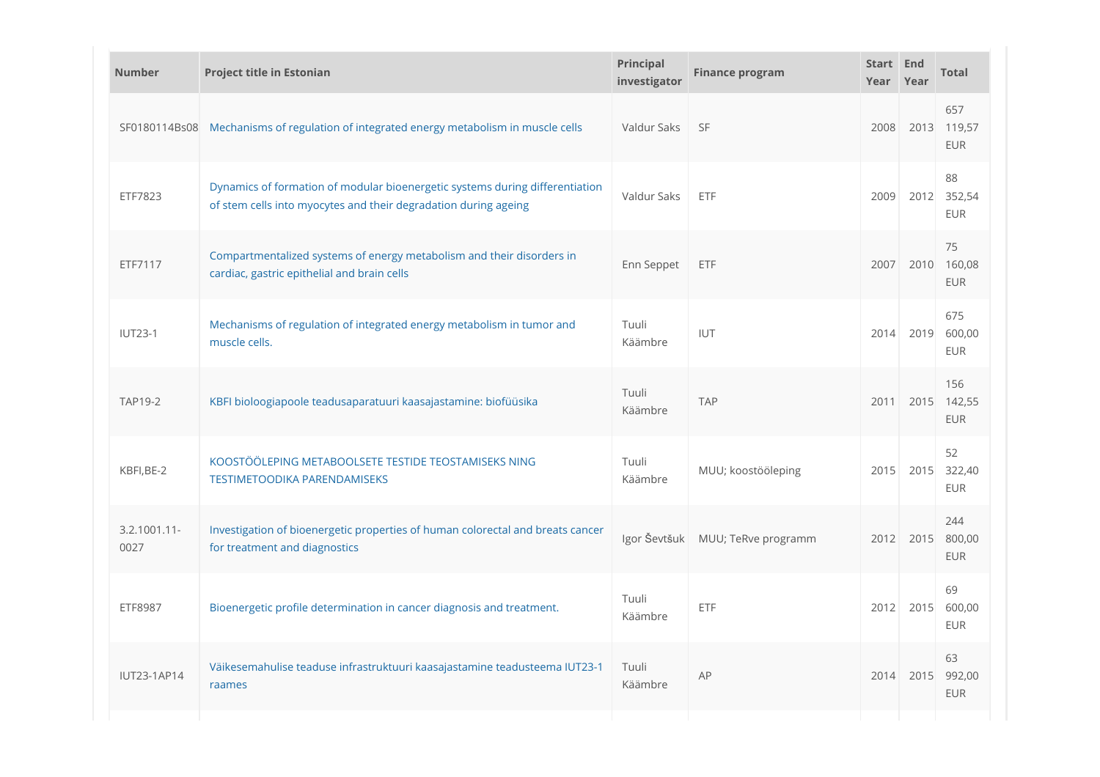| <b>Number</b>           | <b>Project title in Estonian</b>                                                                                                                | Principal<br>investigator | <b>Finance program</b> | Start End<br>Year Year |           | <b>Total</b>                     |
|-------------------------|-------------------------------------------------------------------------------------------------------------------------------------------------|---------------------------|------------------------|------------------------|-----------|----------------------------------|
|                         | SF0180114Bs08 Mechanisms of regulation of integrated energy metabolism in muscle cells                                                          | Valdur Saks               | <b>SF</b>              | 2008                   |           | 657<br>2013 119,57<br><b>EUR</b> |
| ETF7823                 | Dynamics of formation of modular bioenergetic systems during differentiation<br>of stem cells into myocytes and their degradation during ageing | Valdur Saks               | ETF                    | 2009                   |           | 88<br>2012 352,54<br>EUR         |
| ETF7117                 | Compartmentalized systems of energy metabolism and their disorders in<br>cardiac, gastric epithelial and brain cells                            | Enn Seppet                | ETF                    | 2007                   | 2010      | 75<br>160,08<br>EUR              |
| <b>IUT23-1</b>          | Mechanisms of regulation of integrated energy metabolism in tumor and<br>muscle cells.                                                          | Tuuli<br>Käämbre          | IUT                    | 2014                   |           | 675<br>2019 600,00<br>EUR        |
| <b>TAP19-2</b>          | KBFI bioloogiapoole teadusaparatuuri kaasajastamine: biofüüsika                                                                                 | Tuuli<br>Käämbre          | <b>TAP</b>             | 2011                   |           | 156<br>2015 142,55<br><b>EUR</b> |
| KBFI, BE-2              | KOOSTÖÖLEPING METABOOLSETE TESTIDE TEOSTAMISEKS NING<br><b>TESTIMETOODIKA PARENDAMISEKS</b>                                                     | Tuuli<br>Käämbre          | MUU; koostööleping     | 2015                   |           | 52<br>2015 322,40<br><b>EUR</b>  |
| $3.2.1001.11 -$<br>0027 | Investigation of bioenergetic properties of human colorectal and breats cancer<br>for treatment and diagnostics                                 | Igor Ševtšuk              | MUU; TeRve programm    | 2012                   |           | 244<br>2015 800,00<br><b>EUR</b> |
| ETF8987                 | Bioenergetic profile determination in cancer diagnosis and treatment.                                                                           | Tuuli<br>Käämbre          | ETF                    |                        | 2012 2015 | 69<br>600,00<br>EUR              |
| <b>IUT23-1AP14</b>      | Väikesemahulise teaduse infrastruktuuri kaasajastamine teadusteema IUT23-1<br>raames                                                            | Tuuli<br>Käämbre          | AP                     | 2014                   | 2015      | 63<br>992,00<br>EUR              |
|                         |                                                                                                                                                 |                           |                        |                        |           |                                  |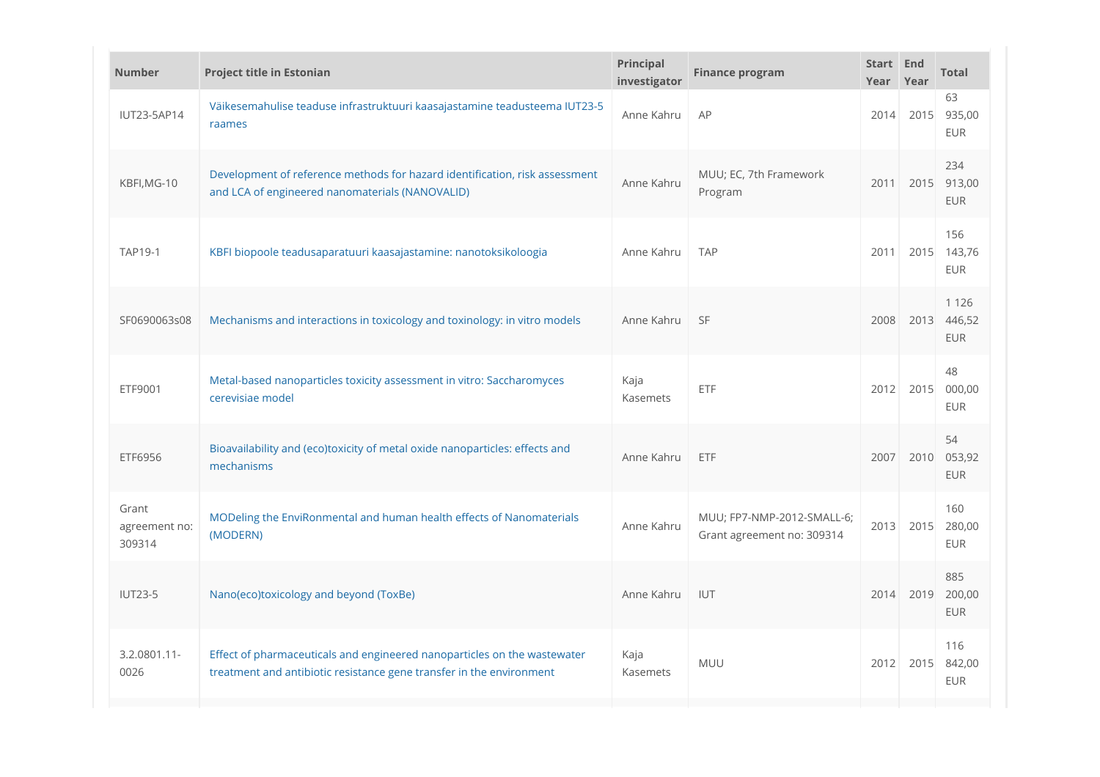| <b>Number</b>                    | <b>Project title in Estonian</b>                                                                                                                 | Principal<br>investigator | <b>Finance program</b>                                   | Start End<br>Year Year |      | <b>Total</b>                         |
|----------------------------------|--------------------------------------------------------------------------------------------------------------------------------------------------|---------------------------|----------------------------------------------------------|------------------------|------|--------------------------------------|
| <b>IUT23-5AP14</b>               | Väikesemahulise teaduse infrastruktuuri kaasajastamine teadusteema IUT23-5<br>raames                                                             | Anne Kahru                | AP                                                       | 2014                   | 2015 | 63<br>935,00<br><b>EUR</b>           |
| KBFI, MG-10                      | Development of reference methods for hazard identification, risk assessment<br>and LCA of engineered nanomaterials (NANOVALID)                   | Anne Kahru                | MUU; EC, 7th Framework<br>Program                        | 2011                   |      | 234<br>2015 913,00<br>EUR            |
| <b>TAP19-1</b>                   | KBFI biopoole teadusaparatuuri kaasajastamine: nanotoksikoloogia                                                                                 | Anne Kahru                | <b>TAP</b>                                               | 2011                   |      | 156<br>2015 143,76<br><b>EUR</b>     |
| SF0690063s08                     | Mechanisms and interactions in toxicology and toxinology: in vitro models                                                                        | Anne Kahru                | <b>SF</b>                                                | 2008                   |      | 1 1 2 6<br>2013 446,52<br><b>EUR</b> |
| ETF9001                          | Metal-based nanoparticles toxicity assessment in vitro: Saccharomyces<br>cerevisiae model                                                        | Kaja<br>Kasemets          | ETF                                                      | 2012                   |      | 48<br>2015 000,00<br>EUR             |
| ETF6956                          | Bioavailability and (eco)toxicity of metal oxide nanoparticles: effects and<br>mechanisms                                                        | Anne Kahru                | <b>ETF</b>                                               | 2007                   | 2010 | 54<br>053,92<br>EUR                  |
| Grant<br>agreement no:<br>309314 | MODeling the EnviRonmental and human health effects of Nanomaterials<br>(MODERN)                                                                 | Anne Kahru                | MUU; FP7-NMP-2012-SMALL-6;<br>Grant agreement no: 309314 | 2013                   |      | 160<br>2015 280,00<br>EUR            |
| <b>IUT23-5</b>                   | Nano(eco)toxicology and beyond (ToxBe)                                                                                                           | Anne Kahru                | IUT                                                      | 2014                   | 2019 | 885<br>200,00<br>EUR                 |
| 3.2.0801.11-<br>0026             | Effect of pharmaceuticals and engineered nanoparticles on the wastewater<br>treatment and antibiotic resistance gene transfer in the environment | Kaja<br>Kasemets          | <b>MUU</b>                                               | 2012                   | 2015 | 116<br>842,00<br><b>EUR</b>          |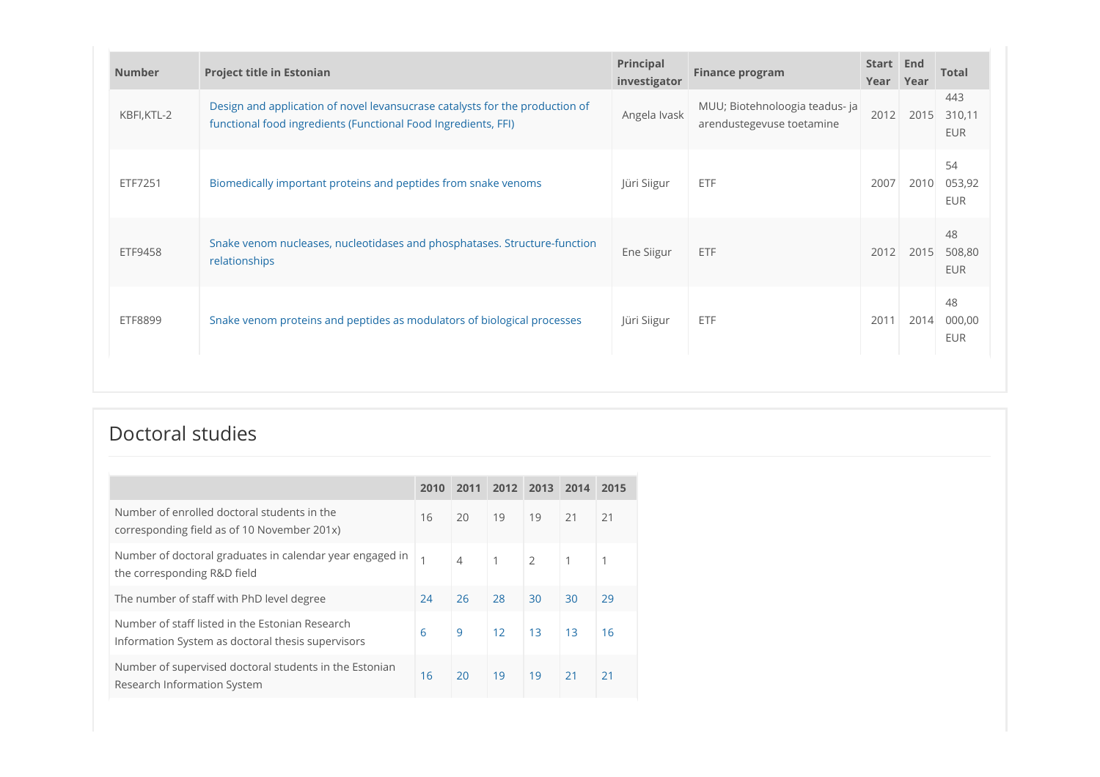| <b>Number</b> | <b>Project title in Estonian</b>                                                                                                               | Principal<br>investigator | <b>Finance program</b>                                      | Start End<br>Year | Year | <b>Total</b>                |
|---------------|------------------------------------------------------------------------------------------------------------------------------------------------|---------------------------|-------------------------------------------------------------|-------------------|------|-----------------------------|
| KBFI, KTL-2   | Design and application of novel levansucrase catalysts for the production of<br>functional food ingredients (Functional Food Ingredients, FFI) | Angela Ivask              | MUU; Biotehnoloogia teadus- ja<br>arendustegevuse toetamine | 2012              | 2015 | 443<br>310,11<br><b>EUR</b> |
| ETF7251       | Biomedically important proteins and peptides from snake venoms                                                                                 | Jüri Siigur               | ETF                                                         | 2007              | 2010 | 54<br>053,92<br><b>EUR</b>  |
| ETF9458       | Snake venom nucleases, nucleotidases and phosphatases. Structure-function<br>relationships                                                     | Ene Siigur                | ETF                                                         | 2012              | 2015 | 48<br>508,80<br><b>EUR</b>  |
| ETF8899       | Snake venom proteins and peptides as modulators of biological processes                                                                        | Jüri Siigur               | ETF                                                         | 2011              | 2014 | 48<br>000,00<br>EUR         |

## Doctoral studies

|                                                                                                      | 2010 | 2011 | 2012 | 2013         | 2014 2015 |    |
|------------------------------------------------------------------------------------------------------|------|------|------|--------------|-----------|----|
| Number of enrolled doctoral students in the<br>corresponding field as of 10 November 201x)           | 16   | 20   | 19   | 19           | 21        | 21 |
| Number of doctoral graduates in calendar year engaged in<br>the corresponding R&D field              |      | 4    |      | $^{\circ}$ 2 |           |    |
| The number of staff with PhD level degree                                                            | 24   | 26   | 28   | 30           | 30        | 29 |
| Number of staff listed in the Estonian Research<br>Information System as doctoral thesis supervisors | 6    | 9    | 12   | 13           | 13        | 16 |
| Number of supervised doctoral students in the Estonian<br>Research Information System                | 16   | 20   | 19   | 19           | 21        | 21 |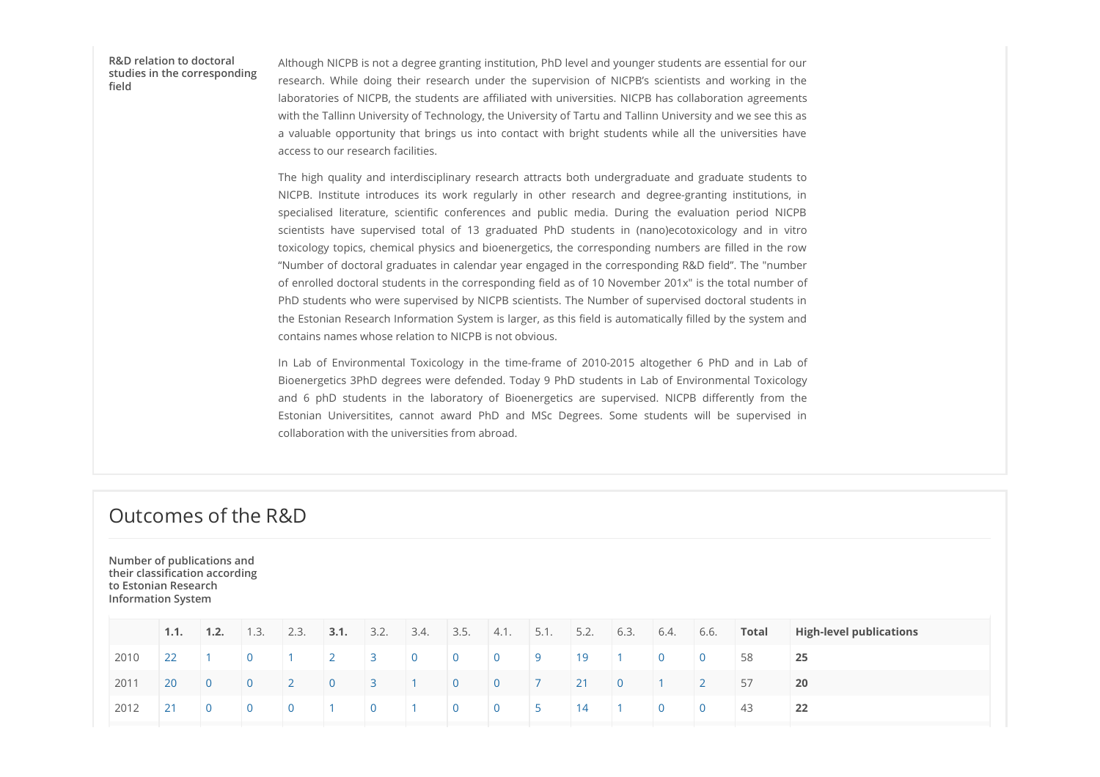### R&D relation to doctoral studies in the corresponding

Although NICPB is not a degree granting institution, PhD level and younger students are essential for our Although NICPB is not a degree granting institution, PhD level and younger students are essential for our<br>research. While doing their research under the supervision of NICPB's scientists and working in the<br>laboratories of laboratories of NICPB, the students are affiliated with universities. NICPB has collaboration agreements with the Tallinn University of Technology, the University of Tartu and Tallinn University and we see this as Although NICPB is not a degree granting institution, PhD level and younger students are essential for our<br>research. While doing their research under the supervision of NICPB's scientists and working in the<br>laboratories of access to our research facilities. studies in the corresponding<br>field

Although NICPB is not a degree granting institution, PhD level and younger students are essential for our research. While doing their research under the supervision of NICPB's scientists and working in the laboratories of Although NICPB is not a degree granting institution, PhD level and younger students are essential for our<br>research. While doing their research under the supervision of NICPB's scientists and working in the<br>laboratories of Although NICPB is not a degree granting institution, PhD level and younger students are essential for our stessorach. While doing their research under the supervision of NICPB's scientists and vorking in the laboratories o Although NICPB is not a degree granting institution, PhD level and younger students are essential for our<br>research. While doing their research under the supervision of NICPB's scientists and working in the<br>aboratories of N toxicology topics, chemical physics and bioenergetics, the corresponding numbers are filled in the row "Number of doctoral graduates in calendar year engaged in the corresponding R&D field". The "number of enrolled doctoral students in the corresponding field as of 10 November 201x" is the total number of PhD students who were supervised by NICPB scientists. The Number of supervised doctoral students in the Estonian Research Information System is larger, as this field is automatically filled by the system and contains names whose relation to NICPB is not obvious. Although NiCFB is not a degree granting institution, PiD level and younger students are essential for our teams. While doing their resumes the super-store, the discussion of NiCFB is a collision properties and working in t Although NiCPB is not a degree granting institution, PhD level and younger students are essential for our research. While doing thair research under the supervision of NiCPB s signifiable and working in the constraints in Athiough Nicera Bis once along experiming institutions, PhD level and younger students are essential for our estable constructions are available in the studients of NICPB's scientists and working in the studient-stories of

Bioenergetics 3PhD degrees were defended. Today 9 PhD students in Lab of Environmental Toxicology collaboration with the universities from abroad.

### Outcomes of the R&D

Number of publications and their classification according to Estonian Research Information System

|                                                                                   |  |  |  |                  |  |                  |                |                |       | 1.1. 1.2. 1.3. 2.3. 3.1. 3.2. 3.4. 3.5. 4.1. 5.1. 5.2. 6.3. 6.4. 6.6. Total High-level publications |
|-----------------------------------------------------------------------------------|--|--|--|------------------|--|------------------|----------------|----------------|-------|-----------------------------------------------------------------------------------------------------|
| 2010                                                                              |  |  |  |                  |  |                  |                |                | 58    | 25                                                                                                  |
| 2011 20 0 0 2 0 3 1 0 0 7 21 0 1                                                  |  |  |  |                  |  |                  |                |                | 57    | $ 20\rangle$                                                                                        |
| $\begin{array}{ c c c c c c c c } \hline 2012 & 21 & 0 & 0 \\ \hline \end{array}$ |  |  |  | 0 1 0 1 0 0 5 14 |  | $\blacksquare$ 1 | $\overline{0}$ | $\overline{0}$ | $-43$ | $\overline{22}$                                                                                     |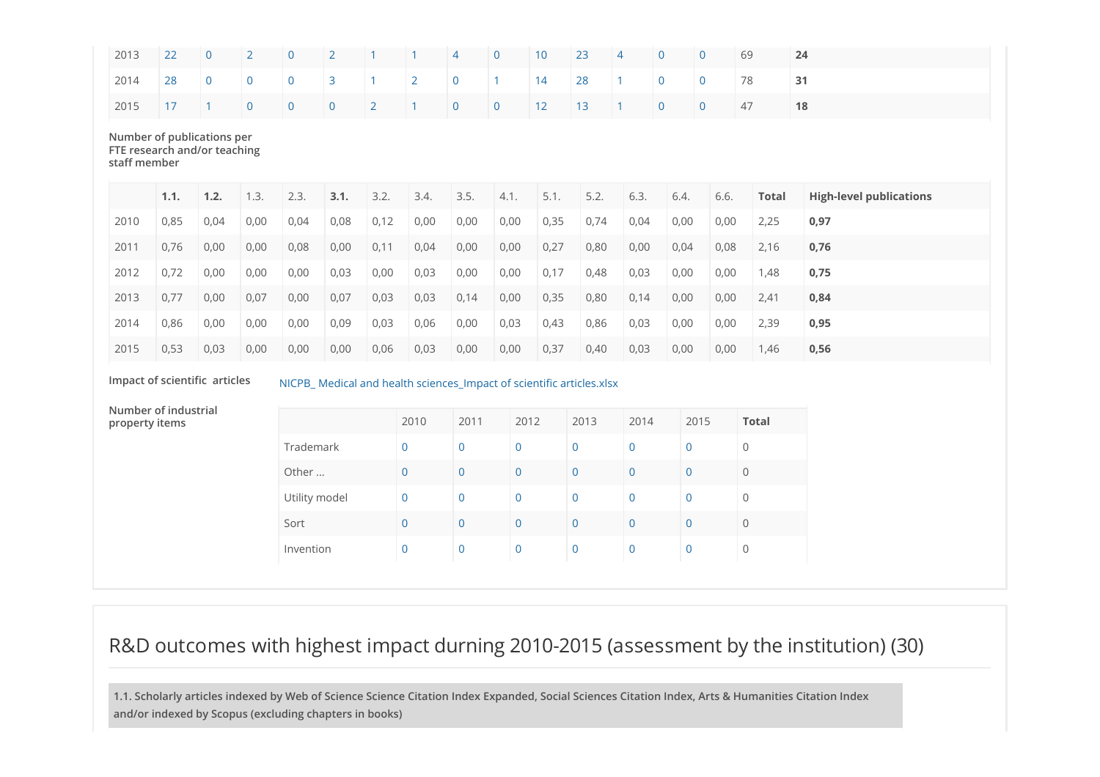| 2013                                   | 22                                                                                                     | $\mathbf 0$    | $\overline{2}$ | $\Omega$       | $\overline{2}$ |                | 1              | $\overline{4}$                                   | $\mathbf{0}$   | 10   | 23             |                | $\Omega$       | $\overline{0}$ | 69             |              | 24                             |
|----------------------------------------|--------------------------------------------------------------------------------------------------------|----------------|----------------|----------------|----------------|----------------|----------------|--------------------------------------------------|----------------|------|----------------|----------------|----------------|----------------|----------------|--------------|--------------------------------|
| 2014                                   | 28                                                                                                     | $\overline{0}$ | $\overline{0}$ | $\overline{0}$ | $\overline{3}$ | $\overline{1}$ | $\overline{2}$ | $\overline{0}$                                   | $\mathbf{1}$   | 14   | 28             |                | $\overline{0}$ | $\overline{0}$ | 78             |              | 31                             |
| 2015                                   | 17                                                                                                     |                | $\overline{0}$ | $\overline{0}$ | $\overline{0}$ | $\overline{2}$ | $\overline{1}$ | $\overline{0}$                                   | $\mathbf 0$    | 12   | 13             |                | $\overline{0}$ | $\overline{0}$ | 47             |              | 18                             |
|                                        | Number of publications per<br>FTE research and/or teaching<br>staff member                             |                |                |                |                |                |                |                                                  |                |      |                |                |                |                |                |              |                                |
|                                        | 1.1.                                                                                                   | 1.2.           | 1.3.           | 2.3.           | 3.1.           | 3.2.           | 3.4.           | 3.5.                                             | 4.1.           | 5.1. | 5.2.           | 6.3.           | 6.4.           | 6.6.           |                | <b>Total</b> | <b>High-level publications</b> |
| 2010                                   | 0,85                                                                                                   | 0,04           | 0,00           | 0,04           | 0,08           | 0,12           | 0,00           | 0,00                                             | 0,00           | 0,35 | 0,74           | 0,04           | 0,00           | 0,00           |                | 2,25         | 0,97                           |
| 2011                                   | 0,76                                                                                                   | 0,00           | 0,00           | 0,08           | 0,00           | 0,11           | 0,04           | 0,00                                             | 0,00           | 0,27 | 0,80           | 0,00           | 0,04           |                | 0,08           | 2,16         | 0,76                           |
| 2012                                   | 0,72                                                                                                   | 0,00           | 0,00           | 0,00           | 0,03           | 0,00           | 0,03           | 0,00                                             | 0,00           | 0,17 | 0,48           | 0,03           | 0,00           | 0,00           |                | 1,48         | 0,75                           |
| 2013                                   | 0,77                                                                                                   | 0,00           | 0,07           | 0,00           | 0,07           | 0,03           | 0,03           | 0,14                                             | 0,00           | 0,35 | 0,80           | 0,14           | 0,00           |                | 0,00           | 2,41         | 0,84                           |
| 2014                                   | 0,86                                                                                                   | 0,00           | 0,00           | 0,00           | 0,09           | 0,03           | 0,06           | 0,00                                             | 0,03           | 0,43 | 0,86           | 0,03           | 0,00           | 0,00           |                | 2,39         | 0,95                           |
| 2015                                   | 0,53                                                                                                   | 0,03           | 0,00           | 0,00           | 0,00           | 0,06           | 0,03           | 0,00                                             | 0,00           | 0,37 | 0,40           | 0,03           | 0,00           | 0,00           |                | 1,46         | 0,56                           |
|                                        | Impact of scientific articles<br>NICPB_ Medical and health sciences_Impact of scientific articles.xlsx |                |                |                |                |                |                |                                                  |                |      |                |                |                |                |                |              |                                |
| Number of industrial<br>property items |                                                                                                        |                |                |                |                |                | 2010           | 2011                                             | 2012           |      | 2013           | 2014           |                | 2015           |                | <b>Total</b> |                                |
|                                        |                                                                                                        |                |                | Trademark      |                |                | $\overline{0}$ | $\Omega$                                         | $\overline{0}$ |      | $\overline{0}$ | $\overline{0}$ |                | $\overline{0}$ | $\overline{0}$ |              |                                |
|                                        |                                                                                                        |                |                | Other          |                |                | $\overline{0}$ | $\mathbf 0$                                      | $\overline{0}$ |      | $\overline{0}$ | $\overline{0}$ |                | $\overline{0}$ | $\mathsf{O}$   |              |                                |
|                                        |                                                                                                        |                |                |                | Utility model  |                |                | $\overline{0}$<br>$\overline{0}$                 |                |      | $\mathbf 0$    | $\overline{0}$ |                | $\overline{0}$ | $\mathbf{O}$   |              |                                |
|                                        |                                                                                                        |                |                |                | Sort           |                |                | $\overline{0}$<br>$\overline{0}$<br>$\mathbf{0}$ |                |      | $\overline{0}$ | $\mathbf 0$    |                | $\overline{0}$ | $\mathbf 0$    |              |                                |
|                                        |                                                                                                        |                |                | Invention      |                |                | $\pmb{0}$      | $\mathbf 0$<br>$\mathbf 0$                       |                |      | $\mathbf 0$    | $\overline{0}$ |                | $\mathbf 0$    | $\mathbf 0$    |              |                                |
|                                        |                                                                                                        |                |                |                |                |                |                |                                                  |                |      |                |                |                |                |                |              |                                |

## R&D outcomes with highest impact durning 2010-2015 (assessment by the institution) (30)

1.1. Scholarly articles indexed by Web of Science Science Citation Index Expanded, Social Sciences Citation Index, Arts & Humanities Citation Index and/or indexed by Scopus (excluding chapters in books)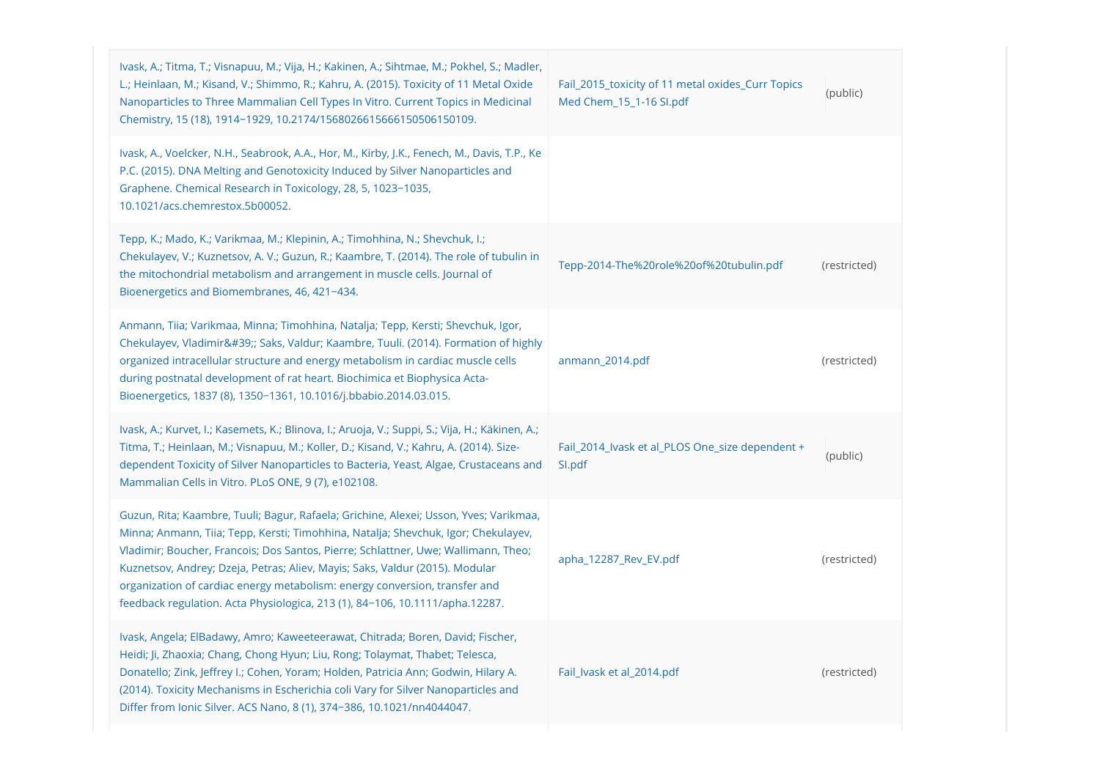| Ivask, A.; Titma, T.; Visnapuu, M.; Vija, H.; Kakinen, A.; Sihtmae, M.; Pokhel, S.; Madler,<br>L.; Heinlaan, M.; Kisand, V.; Shimmo, R.; Kahru, A. (2015). Toxicity of 11 Metal Oxide<br>Nanoparticles to Three Mammalian Cell Types In Vitro. Current Topics in Medicinal<br>Chemistry, 15 (18), 1914-1929, 10.2174/1568026615666150506150109.                                                                                                                                                                 | Fail_2015_toxicity of 11 metal oxides_Curr Topics<br>Med Chem_15_1-16 SI.pdf | (public)     |  |
|-----------------------------------------------------------------------------------------------------------------------------------------------------------------------------------------------------------------------------------------------------------------------------------------------------------------------------------------------------------------------------------------------------------------------------------------------------------------------------------------------------------------|------------------------------------------------------------------------------|--------------|--|
| Ivask, A., Voelcker, N.H., Seabrook, A.A., Hor, M., Kirby, J.K., Fenech, M., Davis, T.P., Ke<br>P.C. (2015). DNA Melting and Genotoxicity Induced by Silver Nanoparticles and<br>Graphene. Chemical Research in Toxicology, 28, 5, 1023-1035,<br>10.1021/acs.chemrestox.5b00052.                                                                                                                                                                                                                                |                                                                              |              |  |
| Tepp, K.; Mado, K.; Varikmaa, M.; Klepinin, A.; Timohhina, N.; Shevchuk, I.;<br>Chekulayev, V.; Kuznetsov, A. V.; Guzun, R.; Kaambre, T. (2014). The role of tubulin in<br>the mitochondrial metabolism and arrangement in muscle cells. Journal of<br>Bioenergetics and Biomembranes, 46, 421-434.                                                                                                                                                                                                             | Tepp-2014-The%20role%20of%20tubulin.pdf                                      | (restricted) |  |
| Anmann, Tiia; Varikmaa, Minna; Timohhina, Natalja; Tepp, Kersti; Shevchuk, Igor,<br>Chekulayev, Vladimir'; Saks, Valdur; Kaambre, Tuuli. (2014). Formation of highly<br>organized intracellular structure and energy metabolism in cardiac muscle cells<br>during postnatal development of rat heart. Biochimica et Biophysica Acta-<br>Bioenergetics, 1837 (8), 1350-1361, 10.1016/j.bbabio.2014.03.015.                                                                                                       | anmann_2014.pdf                                                              | (restricted) |  |
| Ivask, A.; Kurvet, I.; Kasemets, K.; Blinova, I.; Aruoja, V.; Suppi, S.; Vija, H.; Käkinen, A.;<br>Titma, T.; Heinlaan, M.; Visnapuu, M.; Koller, D.; Kisand, V.; Kahru, A. (2014). Size-<br>dependent Toxicity of Silver Nanoparticles to Bacteria, Yeast, Algae, Crustaceans and<br>Mammalian Cells in Vitro. PLoS ONE, 9 (7), e102108.                                                                                                                                                                       | Fail_2014_Ivask et al_PLOS One_size dependent +<br>Sl.pdf                    | (public)     |  |
| Guzun, Rita; Kaambre, Tuuli; Bagur, Rafaela; Grichine, Alexei; Usson, Yves; Varikmaa,<br>Minna; Anmann, Tiia; Tepp, Kersti; Timohhina, Natalja; Shevchuk, Igor; Chekulayev,<br>Vladimir; Boucher, Francois; Dos Santos, Pierre; Schlattner, Uwe; Wallimann, Theo;<br>Kuznetsov, Andrey; Dzeja, Petras; Aliev, Mayis; Saks, Valdur (2015). Modular<br>organization of cardiac energy metabolism: energy conversion, transfer and<br>feedback regulation. Acta Physiologica, 213 (1), 84-106, 10.1111/apha.12287. | apha_12287_Rev_EV.pdf                                                        | (restricted) |  |
| Ivask, Angela; ElBadawy, Amro; Kaweeteerawat, Chitrada; Boren, David; Fischer,<br>Heidi; Ji, Zhaoxia; Chang, Chong Hyun; Liu, Rong; Tolaymat, Thabet; Telesca,<br>Donatello; Zink, Jeffrey I.; Cohen, Yoram; Holden, Patricia Ann; Godwin, Hilary A.<br>(2014). Toxicity Mechanisms in Escherichia coli Vary for Silver Nanoparticles and<br>Differ from Ionic Silver. ACS Nano, 8 (1), 374-386, 10.1021/nn4044047.                                                                                             | Fail_Ivask et al_2014.pdf                                                    | (restricted) |  |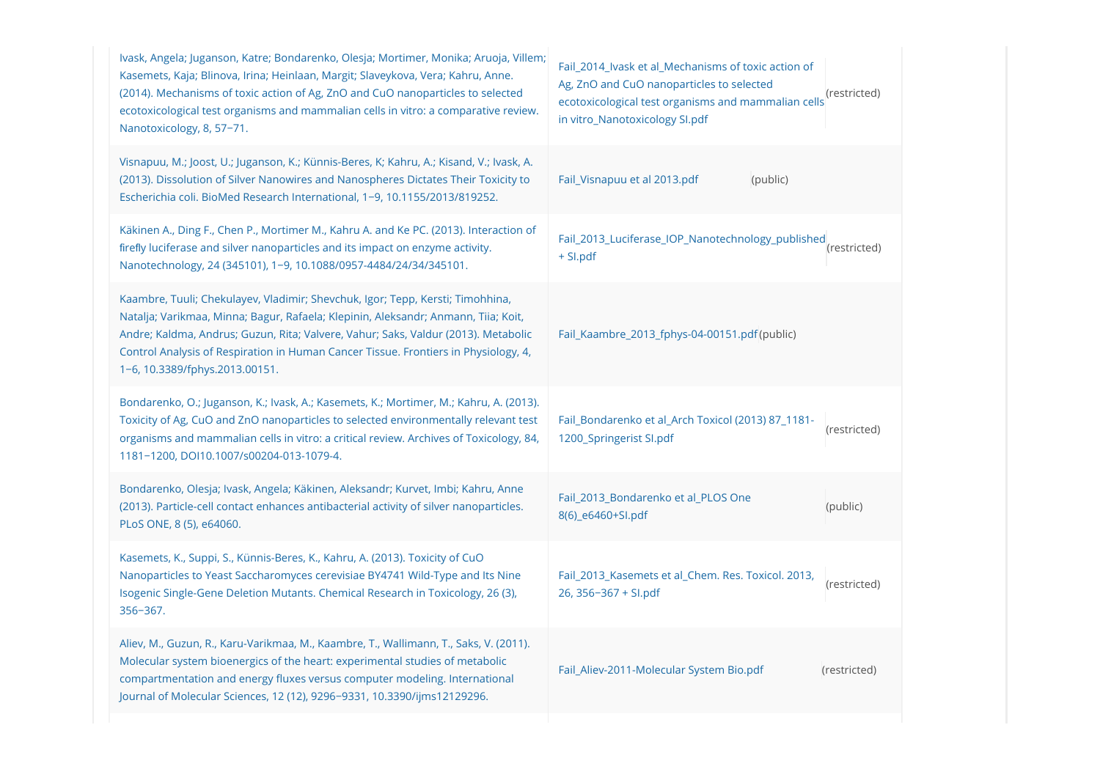| Ivask, Angela; Juganson, Katre; Bondarenko, Olesja; Mortimer, Monika; Aruoja, Villem;<br>Kasemets, Kaja; Blinova, Irina; Heinlaan, Margit; Slaveykova, Vera; Kahru, Anne.<br>(2014). Mechanisms of toxic action of Ag, ZnO and CuO nanoparticles to selected<br>ecotoxicological test organisms and mammalian cells in vitro: a comparative review.<br>Nanotoxicology, 8, 57-71.    | Fail_2014_Ivask et al_Mechanisms of toxic action of<br>Ag, ZnO and CuO nanoparticles to selected<br>(restricted)<br>ecotoxicological test organisms and mammalian cells<br>in vitro_Nanotoxicology SI.pdf |
|-------------------------------------------------------------------------------------------------------------------------------------------------------------------------------------------------------------------------------------------------------------------------------------------------------------------------------------------------------------------------------------|-----------------------------------------------------------------------------------------------------------------------------------------------------------------------------------------------------------|
| Visnapuu, M.; Joost, U.; Juganson, K.; Künnis-Beres, K; Kahru, A.; Kisand, V.; Ivask, A.<br>(2013). Dissolution of Silver Nanowires and Nanospheres Dictates Their Toxicity to<br>Escherichia coli. BioMed Research International, 1-9, 10.1155/2013/819252.                                                                                                                        | (public)<br>Fail Visnapuu et al 2013.pdf                                                                                                                                                                  |
| Käkinen A., Ding F., Chen P., Mortimer M., Kahru A. and Ke PC. (2013). Interaction of<br>firefly luciferase and silver nanoparticles and its impact on enzyme activity.<br>Nanotechnology, 24 (345101), 1-9, 10.1088/0957-4484/24/34/345101.                                                                                                                                        | Fail_2013_Luciferase_IOP_Nanotechnology_published<br>(restricted)<br>+ SI.pdf                                                                                                                             |
| Kaambre, Tuuli; Chekulayev, Vladimir; Shevchuk, Igor; Tepp, Kersti; Timohhina,<br>Natalja; Varikmaa, Minna; Bagur, Rafaela; Klepinin, Aleksandr; Anmann, Tiia; Koit,<br>Andre; Kaldma, Andrus; Guzun, Rita; Valvere, Vahur; Saks, Valdur (2013). Metabolic<br>Control Analysis of Respiration in Human Cancer Tissue. Frontiers in Physiology, 4,<br>1-6, 10.3389/fphys.2013.00151. | Fail Kaambre 2013 fphys-04-00151.pdf(public)                                                                                                                                                              |
| Bondarenko, O.; Juganson, K.; Ivask, A.; Kasemets, K.; Mortimer, M.; Kahru, A. (2013).<br>Toxicity of Ag, CuO and ZnO nanoparticles to selected environmentally relevant test<br>organisms and mammalian cells in vitro: a critical review. Archives of Toxicology, 84,<br>1181-1200, DOI10.1007/s00204-013-1079-4.                                                                 | Fail_Bondarenko et al_Arch Toxicol (2013) 87_1181-<br>(restricted)<br>1200_Springerist SI.pdf                                                                                                             |
| Bondarenko, Olesja; Ivask, Angela; Käkinen, Aleksandr; Kurvet, Imbi; Kahru, Anne<br>(2013). Particle-cell contact enhances antibacterial activity of silver nanoparticles.<br>PLoS ONE, 8 (5), e64060.                                                                                                                                                                              | Fail 2013 Bondarenko et al PLOS One<br>(public)<br>8(6) e6460+Sl.pdf                                                                                                                                      |
| Kasemets, K., Suppi, S., Künnis-Beres, K., Kahru, A. (2013). Toxicity of CuO<br>Nanoparticles to Yeast Saccharomyces cerevisiae BY4741 Wild-Type and Its Nine<br>Isogenic Single-Gene Deletion Mutants. Chemical Research in Toxicology, 26 (3),<br>$356 - 367.$                                                                                                                    | Fail_2013_Kasemets et al_Chem. Res. Toxicol. 2013,<br>(restricted)<br>$26, 356 - 367 + S1$ .pdf                                                                                                           |
| Aliev, M., Guzun, R., Karu-Varikmaa, M., Kaambre, T., Wallimann, T., Saks, V. (2011).<br>Molecular system bioenergics of the heart: experimental studies of metabolic<br>compartmentation and energy fluxes versus computer modeling. International<br>Journal of Molecular Sciences, 12 (12), 9296-9331, 10.3390/ijms12129296.                                                     | Fail_Aliev-2011-Molecular System Bio.pdf<br>(restricted)                                                                                                                                                  |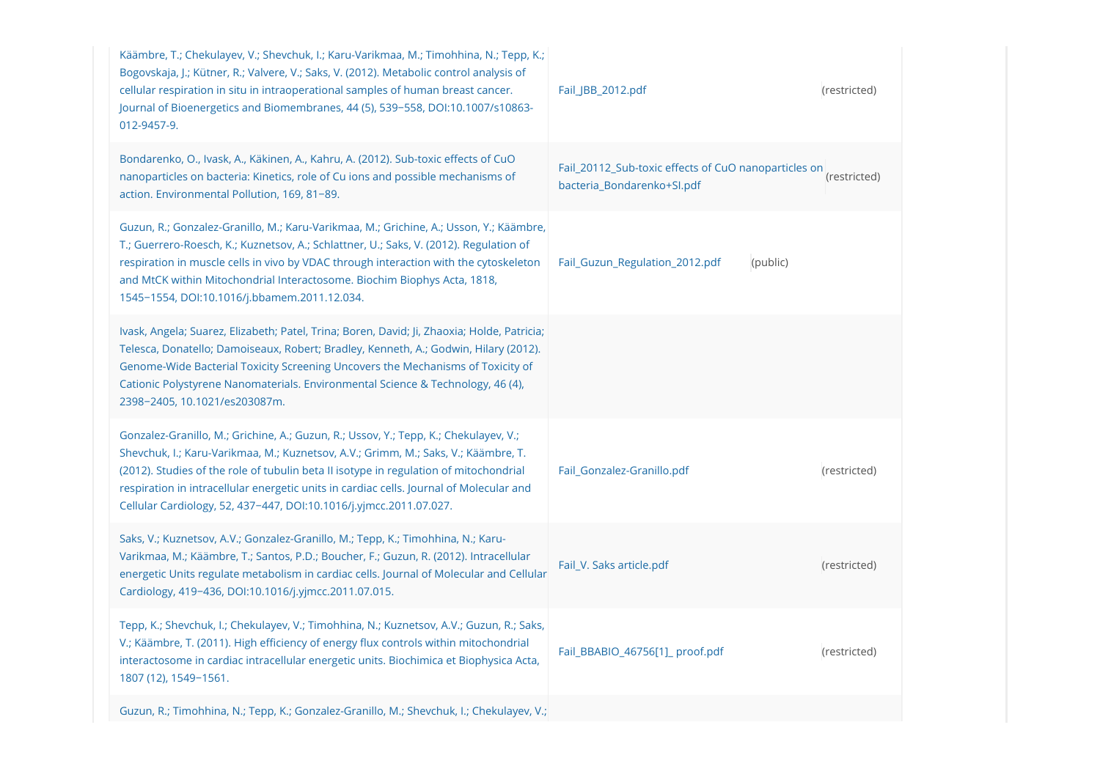| Käämbre, T.; Chekulayev, V.; Shevchuk, I.; Karu-Varikmaa, M.; Timohhina, N.; Tepp, K.;<br>Bogovskaja, J.; Kütner, R.; Valvere, V.; Saks, V. (2012). Metabolic control analysis of<br>cellular respiration in situ in intraoperational samples of human breast cancer.<br>Journal of Bioenergetics and Biomembranes, 44 (5), 539-558, DOI:10.1007/s10863-<br>012-9457-9.                                                              | Fail_JBB_2012.pdf                                                                  | (restricted) |
|--------------------------------------------------------------------------------------------------------------------------------------------------------------------------------------------------------------------------------------------------------------------------------------------------------------------------------------------------------------------------------------------------------------------------------------|------------------------------------------------------------------------------------|--------------|
| Bondarenko, O., Ivask, A., Käkinen, A., Kahru, A. (2012). Sub-toxic effects of CuO<br>nanoparticles on bacteria: Kinetics, role of Cu ions and possible mechanisms of<br>action. Environmental Pollution, 169, 81-89.                                                                                                                                                                                                                | Fail_20112_Sub-toxic effects of CuO nanoparticles on<br>bacteria_Bondarenko+SI.pdf | (restricted) |
| Guzun, R.; Gonzalez-Granillo, M.; Karu-Varikmaa, M.; Grichine, A.; Usson, Y.; Käämbre,<br>T.; Guerrero-Roesch, K.; Kuznetsov, A.; Schlattner, U.; Saks, V. (2012). Regulation of<br>respiration in muscle cells in vivo by VDAC through interaction with the cytoskeleton<br>and MtCK within Mitochondrial Interactosome. Biochim Biophys Acta, 1818,<br>1545-1554, DOI:10.1016/j.bbamem.2011.12.034.                                | Fail_Guzun_Regulation_2012.pdf<br>(public)                                         |              |
| Ivask, Angela; Suarez, Elizabeth; Patel, Trina; Boren, David; Ji, Zhaoxia; Holde, Patricia;<br>Telesca, Donatello; Damoiseaux, Robert; Bradley, Kenneth, A.; Godwin, Hilary (2012).<br>Genome-Wide Bacterial Toxicity Screening Uncovers the Mechanisms of Toxicity of<br>Cationic Polystyrene Nanomaterials. Environmental Science & Technology, 46 (4),<br>2398-2405, 10.1021/es203087m.                                           |                                                                                    |              |
| Gonzalez-Granillo, M.; Grichine, A.; Guzun, R.; Ussov, Y.; Tepp, K.; Chekulayev, V.;<br>Shevchuk, I.; Karu-Varikmaa, M.; Kuznetsov, A.V.; Grimm, M.; Saks, V.; Käämbre, T.<br>(2012). Studies of the role of tubulin beta II isotype in regulation of mitochondrial<br>respiration in intracellular energetic units in cardiac cells. Journal of Molecular and<br>Cellular Cardiology, 52, 437-447, DOI:10.1016/j.yjmcc.2011.07.027. | Fail Gonzalez-Granillo.pdf                                                         | (restricted) |
| Saks, V.; Kuznetsov, A.V.; Gonzalez-Granillo, M.; Tepp, K.; Timohhina, N.; Karu-<br>Varikmaa, M.; Käämbre, T.; Santos, P.D.; Boucher, F.; Guzun, R. (2012). Intracellular<br>energetic Units regulate metabolism in cardiac cells. Journal of Molecular and Cellular<br>Cardiology, 419-436, DOI:10.1016/j.yjmcc.2011.07.015.                                                                                                        | Fail_V. Saks article.pdf                                                           | (restricted) |
| Tepp, K.; Shevchuk, I.; Chekulayev, V.; Timohhina, N.; Kuznetsov, A.V.; Guzun, R.; Saks,<br>V.; Käämbre, T. (2011). High efficiency of energy flux controls within mitochondrial<br>interactosome in cardiac intracellular energetic units. Biochimica et Biophysica Acta,<br>1807 (12), 1549-1561.                                                                                                                                  | Fail_BBABIO_46756[1]_ proof.pdf                                                    | (restricted) |
| Guzun, R.; Timohhina, N.; Tepp, K.; Gonzalez-Granillo, M.; Shevchuk, I.; Chekulayev, V.;                                                                                                                                                                                                                                                                                                                                             |                                                                                    |              |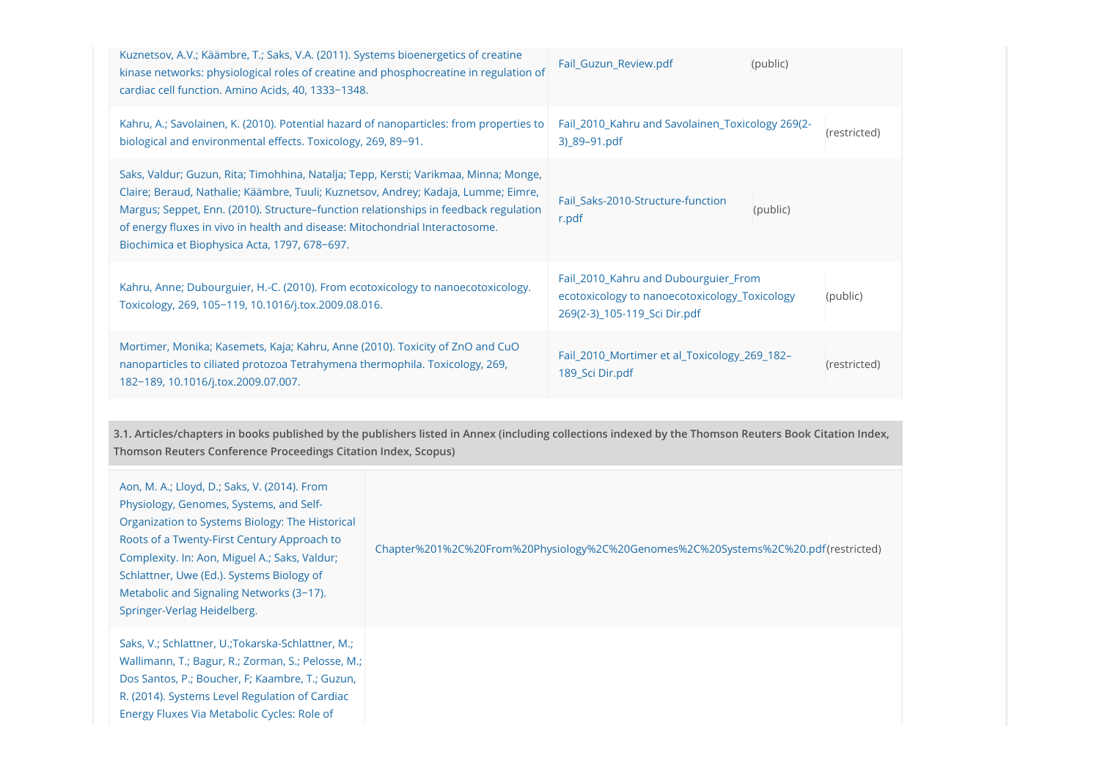| Kahru, A.; Savolainen, K. (2010). Potential hazard of nanoparticles: from properties to<br>Fail_2010_Kahru and Savolainen_Toxicology 269(2-<br>(restricted)<br>biological and environmental effects. Toxicology, 269, 89-91.<br>3) 89-91.pdf<br>Saks, Valdur; Guzun, Rita; Timohhina, Natalja; Tepp, Kersti; Varikmaa, Minna; Monge,<br>Claire; Beraud, Nathalie; Käämbre, Tuuli; Kuznetsov, Andrey; Kadaja, Lumme; Eimre,<br>Fail_Saks-2010-Structure-function<br>Margus; Seppet, Enn. (2010). Structure-function relationships in feedback regulation<br>(public)<br>r.pdf<br>of energy fluxes in vivo in health and disease: Mitochondrial Interactosome.<br>Biochimica et Biophysica Acta, 1797, 678-697.<br>Fail_2010_Kahru and Dubourguier_From<br>Kahru, Anne; Dubourguier, H.-C. (2010). From ecotoxicology to nanoecotoxicology.<br>ecotoxicology to nanoecotoxicology Toxicology<br>(public)<br>Toxicology, 269, 105-119, 10.1016/j.tox.2009.08.016.<br>269(2-3) 105-119 Sci Dir.pdf<br>Mortimer, Monika; Kasemets, Kaja; Kahru, Anne (2010). Toxicity of ZnO and CuO<br>Fail_2010_Mortimer et al_Toxicology_269_182-<br>nanoparticles to ciliated protozoa Tetrahymena thermophila. Toxicology, 269,<br>(restricted)<br>189 Sci Dir.pdf<br>182-189, 10.1016/j.tox.2009.07.007. | Kuznetsov, A.V.; Käämbre, T.; Saks, V.A. (2011). Systems bioenergetics of creatine<br>kinase networks: physiological roles of creatine and phosphocreatine in regulation of<br>cardiac cell function. Amino Acids, 40, 1333-1348. | Fail_Guzun_Review.pdf | (public) |  |
|-------------------------------------------------------------------------------------------------------------------------------------------------------------------------------------------------------------------------------------------------------------------------------------------------------------------------------------------------------------------------------------------------------------------------------------------------------------------------------------------------------------------------------------------------------------------------------------------------------------------------------------------------------------------------------------------------------------------------------------------------------------------------------------------------------------------------------------------------------------------------------------------------------------------------------------------------------------------------------------------------------------------------------------------------------------------------------------------------------------------------------------------------------------------------------------------------------------------------------------------------------------------------------------------|-----------------------------------------------------------------------------------------------------------------------------------------------------------------------------------------------------------------------------------|-----------------------|----------|--|
|                                                                                                                                                                                                                                                                                                                                                                                                                                                                                                                                                                                                                                                                                                                                                                                                                                                                                                                                                                                                                                                                                                                                                                                                                                                                                           |                                                                                                                                                                                                                                   |                       |          |  |
|                                                                                                                                                                                                                                                                                                                                                                                                                                                                                                                                                                                                                                                                                                                                                                                                                                                                                                                                                                                                                                                                                                                                                                                                                                                                                           |                                                                                                                                                                                                                                   |                       |          |  |
|                                                                                                                                                                                                                                                                                                                                                                                                                                                                                                                                                                                                                                                                                                                                                                                                                                                                                                                                                                                                                                                                                                                                                                                                                                                                                           |                                                                                                                                                                                                                                   |                       |          |  |
|                                                                                                                                                                                                                                                                                                                                                                                                                                                                                                                                                                                                                                                                                                                                                                                                                                                                                                                                                                                                                                                                                                                                                                                                                                                                                           |                                                                                                                                                                                                                                   |                       |          |  |

3.1. Articles/chapters in books published by the publishers listed in Annex (including collections indexed by the Thomson Reuters Book Citation Index, Thomson Reuters Conference Proceedings Citation Index, Scopus)

| Aon, M. A.; Lloyd, D.; Saks, V. (2014). From<br>Physiology, Genomes, Systems, and Self-<br>Organization to Systems Biology: The Historical<br>Roots of a Twenty-First Century Approach to<br>Complexity. In: Aon, Miguel A.; Saks, Valdur;<br>Schlattner, Uwe (Ed.). Systems Biology of<br>Metabolic and Signaling Networks (3-17).<br>Springer-Verlag Heidelberg. | Chapter%201%2C%20From%20Physiology%2C%20Genomes%2C%20Systems%2C%20.pdf(restricted) |
|--------------------------------------------------------------------------------------------------------------------------------------------------------------------------------------------------------------------------------------------------------------------------------------------------------------------------------------------------------------------|------------------------------------------------------------------------------------|
| Saks, V.; Schlattner, U.; Tokarska-Schlattner, M.;<br>Wallimann, T.; Bagur, R.; Zorman, S.; Pelosse, M.;<br>Dos Santos, P.; Boucher, F; Kaambre, T.; Guzun,<br>R. (2014). Systems Level Regulation of Cardiac<br>Energy Fluxes Via Metabolic Cycles: Role of                                                                                                       |                                                                                    |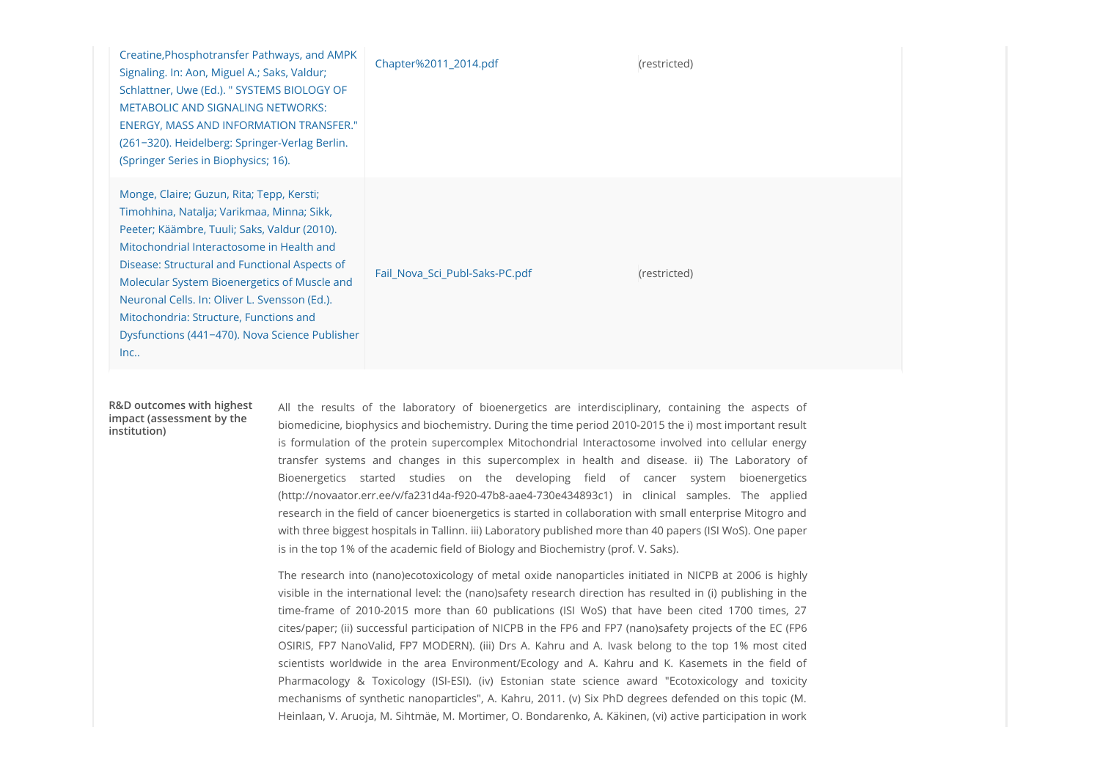| Creatine, Phosphotransfer Pathways, and AMPK<br>Signaling. In: Aon, Miguel A.; Saks, Valdur;<br>Schlattner, Uwe (Ed.). " SYSTEMS BIOLOGY OF<br>METABOLIC AND SIGNALING NETWORKS:<br><b>ENERGY, MASS AND INFORMATION TRANSFER."</b><br>(261-320). Heidelberg: Springer-Verlag Berlin.<br>(Springer Series in Biophysics; 16).                                                                                                              | Chapter%2011_2014.pdf                                                               | (restricted)                                                                                                                                                                                                                                                                                                                                                                                                                                                                                                                                                                                                                                                                                                                                                                                                                                                                                                                                                                                                                                                                   |  |
|-------------------------------------------------------------------------------------------------------------------------------------------------------------------------------------------------------------------------------------------------------------------------------------------------------------------------------------------------------------------------------------------------------------------------------------------|-------------------------------------------------------------------------------------|--------------------------------------------------------------------------------------------------------------------------------------------------------------------------------------------------------------------------------------------------------------------------------------------------------------------------------------------------------------------------------------------------------------------------------------------------------------------------------------------------------------------------------------------------------------------------------------------------------------------------------------------------------------------------------------------------------------------------------------------------------------------------------------------------------------------------------------------------------------------------------------------------------------------------------------------------------------------------------------------------------------------------------------------------------------------------------|--|
| Monge, Claire; Guzun, Rita; Tepp, Kersti;<br>Timohhina, Natalja; Varikmaa, Minna; Sikk,<br>Peeter; Käämbre, Tuuli; Saks, Valdur (2010).<br>Mitochondrial Interactosome in Health and<br>Disease: Structural and Functional Aspects of<br>Molecular System Bioenergetics of Muscle and<br>Neuronal Cells. In: Oliver L. Svensson (Ed.).<br>Mitochondria: Structure, Functions and<br>Dysfunctions (441-470). Nova Science Publisher<br>Inc | Fail_Nova_Sci_Publ-Saks-PC.pdf                                                      | (restricted)                                                                                                                                                                                                                                                                                                                                                                                                                                                                                                                                                                                                                                                                                                                                                                                                                                                                                                                                                                                                                                                                   |  |
| R&D outcomes with highest<br>impact (assessment by the<br>institution)                                                                                                                                                                                                                                                                                                                                                                    | is in the top 1% of the academic field of Biology and Biochemistry (prof. V. Saks). | All the results of the laboratory of bioenergetics are interdisciplinary, containing the aspects of<br>biomedicine, biophysics and biochemistry. During the time period 2010-2015 the i) most important result<br>is formulation of the protein supercomplex Mitochondrial Interactosome involved into cellular energy<br>transfer systems and changes in this supercomplex in health and disease. ii) The Laboratory of<br>Bioenergetics started studies on the developing field of cancer system bioenergetics<br>(http://novaator.err.ee/v/fa231d4a-f920-47b8-aae4-730e434893c1) in clinical samples. The applied<br>research in the field of cancer bioenergetics is started in collaboration with small enterprise Mitogro and<br>with three biggest hospitals in Tallinn. iii) Laboratory published more than 40 papers (ISI WoS). One paper<br>The research into (nano)ecotoxicology of metal oxide nanoparticles initiated in NICPB at 2006 is highly<br>visible in the international level: the (nano)safety research direction has resulted in (i) publishing in the |  |

biomedicine, biophysics and biochemistry. During the time period 2010-2015 the i) most important result research in the field of cancer bioenergetics is started in collaboration with small enterprise Mitogro and with three biggest hospitals in Tallinn. iii) Laboratory published more than 40 papers (ISI WoS). One paper is in the top 1% of the academic field of Biology and Biochemistry (prof. V. Saks). ial Agoeta of 2010-2015 more than 60 publications (ISI WoR) that is a content of the state of 2010-2015 more than 60 publications (ISI WoR) that is expected the content of 2010-2015 mixed in the results of the laboratory o R&D outcomes with highest All the results of the laboratory of bioenergetics are interdisciplinary, containing the aspects of

The research into (nano)ecotoxicology of metal oxide nanoparticles initiated in NICPB at 2006 is highly visible in the international level: the (nano)safety research direction has resulted in (i) publishing in the cites/paper; (ii) successful participation of NICPB in the FP6 and FP7 (nano)safety projects of the EC (FP6 Issues (Ed.), the results of the laboratory of bioenergetics are interdisciplinary, containing the aspects of<br>Homelocion, bioejeysics and bioehemisty. During the time period 2010 2013 the throns interactional results of<br>in scientification of the laboratory of bioenergetics are interdisciplinary, containing the aspects of biomological biomological biomological biomological biomological biomological biomological biomological biomological biomo Rall the results of the laboratory of bioenergetics are interdisciplinary, containing the aspects of the formulation of the priori in the pharmacology (ISI-ESI). The secondary of the simulation of the protein supercomplex mechanisms of synthetic nanoparticles", A. Kahru, 2011. (v) Six PhD degrees defended on this topic (M. Heinlaan, V. Aruoja, M. Sihtmäe, M. Mortimer, O. Bondarenko, A. Käkinen, (vi) active participation in work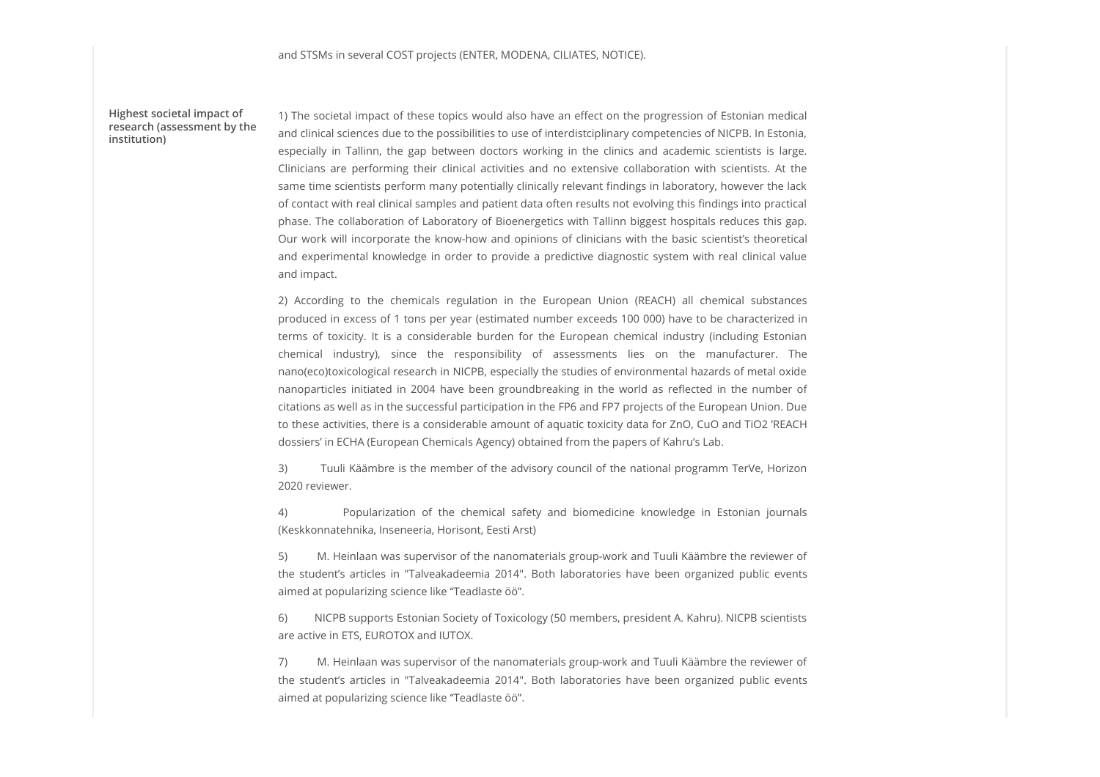Highest societal impact of institution)

1) The societal impact of these topics would also have an effect on the progression of Estonian medical research (assessment by the and clinical sciences due to the possibilities to use of interdistciplinary competencies of NICPB. In Estonia, restonia, and STSMs in several COST projects (ENTER, MODENA, CILIATES, NOTICE).<br>1) The societal impact of these topics would also have an effect on the progression of Estonian medical<br>and clinical sciences due to the possibilities t and STSMs in several COST projects (ENTER, MODENA, CILIATES, NOTICE).<br>1) The societal impact of these topics would also have an effect on the progression of Estonian medical<br>and clinical sciences due to the possibilities t same time scientists perform many potentially clinically relevant findings in laboratory, however the lack of contact with real clinical samples and patient data often results not evolving this findings into practical phase. The collaboration of Laboratory of Bioenergetics with Tallinn biggest hospitals reduces this gap. Our work will incorporate the know-how and opinions of clinicians with the basic scientist's theoretical and STSMs in several COST projects (ENTER, MODENA, CILIATES, NOTICE).<br>
1) The societal impact of these topics would also have an effect on the progression of Estonian medicial<br>
and clinical sciences due to the possibilitie and impact. and STSMs in several COST projects (ENTER, MODENA, CILIATES, NOTICE).<br>
1) The societal impact of these topics would also have an effect on the progression of Estonian medical<br>
and clinical sciences due to the possibilities and ST5Ms in several COST projects (ENTER, MODENA, CILIATES, NOTICE).<br>
1) The societal impact of these popies would also have an effect on the progression of Estonian medical<br>
and chrical scenece due to the possibilities t and ST5Ms in several COST projects (ENTER, MODENA, CILATES, NOTICE).<br>
1) The societal impact of these topics would also have an effect on the progression of Estonian medical<br>
appecially in Tallinn, the gap between doctors and STSMs in several COST projects (ENTER, MODENA, CILATES, NOTICE).<br>
1) The societal impact of these topics would also have an effect on the progression of Estorian medical<br>
and clincial scene celus to the pass between do

produced in excess of 1 tons per year (estimated number exceeds 100 000) have to be characterized in nano(eco)toxicological research in NICPB, especially the studies of environmental hazards of metal oxide citations as well as in the successful participation in the FP6 and FP7 projects of the European Union. Due to these activities, there is a considerable amount of aquatic toxicity data for ZnO, CuO and TiO2 'REACH dossiers' in ECHA (European Chemicals Agency) obtained from the papers of Kahru's Lab. Ciriscians are performing their clinical activities and in extensive collebration with scientists, At the chemical system tem estensitists porform many potentular) dimical since for the chemical samples and patient data of phase. The collaboration of Laboration of articles in the megatics with Tallinn bigges; thospitals reduces the space incomendation of Laboratoric students the basic coenters the provide and propertiental knowledge in order terms of tookiety, lk is a considerable burden for the European chemical industry (including Estonian<br>chemical industry), since the responsibility of assessments lies on the manufacturer. The<br>characterofonorical public eve

3) Tuuli Käämbre is the member of the advisory council of the national programm TerVe, Horizon 2020 reviewer.

(Keskkonnatehnika, Inseneeria, Horisont, Eesti Arst)

5) M. Heinlaan was supervisor of the nanomaterials group-work and Tuuli Käämbre the reviewer of aimed at popularizing science like "Teadlaste öö".

6) NICPB supports Estonian Society of Toxicology (50 members, president A. Kahru). NICPB scientists are active in ETS, EUROTOX and IUTOX.

7) M. Heinlaan was supervisor of the nanomaterials group-work and Tuuli Käämbre the reviewer of aimed at popularizing science like "Teadlaste öö".